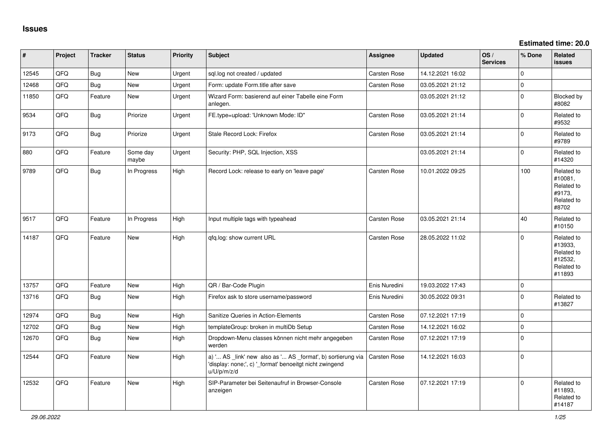| #     | Project | <b>Tracker</b> | <b>Status</b>     | <b>Priority</b> | <b>Subject</b>                                                                                                                        | <b>Assignee</b>     | <b>Updated</b>   | OS/<br><b>Services</b> | % Done   | Related<br><b>issues</b>                                               |
|-------|---------|----------------|-------------------|-----------------|---------------------------------------------------------------------------------------------------------------------------------------|---------------------|------------------|------------------------|----------|------------------------------------------------------------------------|
| 12545 | QFQ     | <b>Bug</b>     | <b>New</b>        | Urgent          | sql.log not created / updated                                                                                                         | Carsten Rose        | 14.12.2021 16:02 |                        | 0        |                                                                        |
| 12468 | QFQ     | Bug            | New               | Urgent          | Form: update Form.title after save                                                                                                    | <b>Carsten Rose</b> | 03.05.2021 21:12 |                        | 0        |                                                                        |
| 11850 | QFQ     | Feature        | <b>New</b>        | Urgent          | Wizard Form: basierend auf einer Tabelle eine Form<br>anlegen.                                                                        |                     | 03.05.2021 21:12 |                        | $\Omega$ | Blocked by<br>#8082                                                    |
| 9534  | QFQ     | <b>Bug</b>     | Priorize          | Urgent          | FE.type=upload: 'Unknown Mode: ID"                                                                                                    | <b>Carsten Rose</b> | 03.05.2021 21:14 |                        | $\Omega$ | Related to<br>#9532                                                    |
| 9173  | QFQ     | Bug            | Priorize          | Urgent          | Stale Record Lock: Firefox                                                                                                            | Carsten Rose        | 03.05.2021 21:14 |                        | $\Omega$ | Related to<br>#9789                                                    |
| 880   | QFQ     | Feature        | Some day<br>maybe | Urgent          | Security: PHP, SQL Injection, XSS                                                                                                     |                     | 03.05.2021 21:14 |                        | $\Omega$ | Related to<br>#14320                                                   |
| 9789  | QFQ     | Bug            | In Progress       | High            | Record Lock: release to early on 'leave page'                                                                                         | Carsten Rose        | 10.01.2022 09:25 |                        | 100      | Related to<br>#10081,<br>Related to<br>#9173,<br>Related to<br>#8702   |
| 9517  | QFQ     | Feature        | In Progress       | High            | Input multiple tags with typeahead                                                                                                    | Carsten Rose        | 03.05.2021 21:14 |                        | 40       | Related to<br>#10150                                                   |
| 14187 | QFQ     | Feature        | <b>New</b>        | High            | qfq.log: show current URL                                                                                                             | Carsten Rose        | 28.05.2022 11:02 |                        | $\Omega$ | Related to<br>#13933,<br>Related to<br>#12532,<br>Related to<br>#11893 |
| 13757 | QFQ     | Feature        | New               | High            | QR / Bar-Code Plugin                                                                                                                  | Enis Nuredini       | 19.03.2022 17:43 |                        | $\Omega$ |                                                                        |
| 13716 | QFQ     | Bug            | New               | High            | Firefox ask to store username/password                                                                                                | Enis Nuredini       | 30.05.2022 09:31 |                        | $\Omega$ | Related to<br>#13827                                                   |
| 12974 | QFQ     | Bug            | New               | High            | Sanitize Queries in Action-Elements                                                                                                   | Carsten Rose        | 07.12.2021 17:19 |                        | $\Omega$ |                                                                        |
| 12702 | QFQ     | <b>Bug</b>     | New               | High            | templateGroup: broken in multiDb Setup                                                                                                | Carsten Rose        | 14.12.2021 16:02 |                        | $\Omega$ |                                                                        |
| 12670 | QFQ     | <b>Bug</b>     | New               | High            | Dropdown-Menu classes können nicht mehr angegeben<br>werden                                                                           | Carsten Rose        | 07.12.2021 17:19 |                        | $\Omega$ |                                                                        |
| 12544 | QFQ     | Feature        | <b>New</b>        | High            | a) ' AS _link' new also as ' AS _format', b) sortierung via<br>'display: none;', c) '_format' benoeitgt nicht zwingend<br>u/U/p/m/z/d | Carsten Rose        | 14.12.2021 16:03 |                        | $\Omega$ |                                                                        |
| 12532 | QFQ     | Feature        | New               | High            | SIP-Parameter bei Seitenaufruf in Browser-Console<br>anzeigen                                                                         | Carsten Rose        | 07.12.2021 17:19 |                        | 0        | Related to<br>#11893,<br>Related to<br>#14187                          |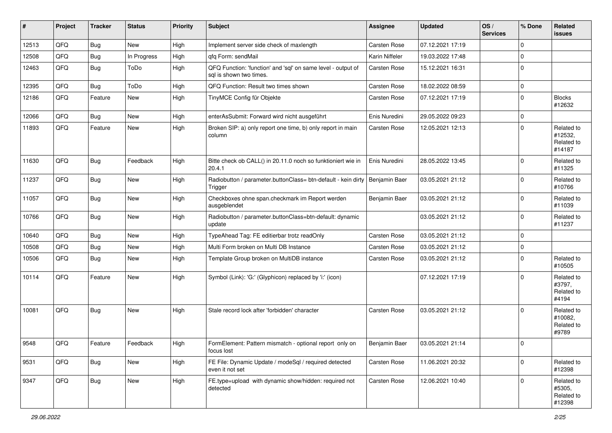| #     | Project | <b>Tracker</b> | <b>Status</b> | <b>Priority</b> | <b>Subject</b>                                                                          | <b>Assignee</b> | <b>Updated</b>   | OS/<br><b>Services</b> | % Done      | <b>Related</b><br><b>issues</b>               |
|-------|---------|----------------|---------------|-----------------|-----------------------------------------------------------------------------------------|-----------------|------------------|------------------------|-------------|-----------------------------------------------|
| 12513 | QFQ     | Bug            | <b>New</b>    | High            | Implement server side check of maxlength                                                | Carsten Rose    | 07.12.2021 17:19 |                        | $\mathbf 0$ |                                               |
| 12508 | QFQ     | Bug            | In Progress   | High            | gfg Form: sendMail                                                                      | Karin Niffeler  | 19.03.2022 17:48 |                        | $\Omega$    |                                               |
| 12463 | QFQ     | <b>Bug</b>     | ToDo          | High            | QFQ Function: 'function' and 'sql' on same level - output of<br>sal is shown two times. | Carsten Rose    | 15.12.2021 16:31 |                        | $\mathbf 0$ |                                               |
| 12395 | QFQ     | <b>Bug</b>     | ToDo          | High            | QFQ Function: Result two times shown                                                    | Carsten Rose    | 18.02.2022 08:59 |                        | $\mathbf 0$ |                                               |
| 12186 | QFQ     | Feature        | New           | High            | TinyMCE Config für Objekte                                                              | Carsten Rose    | 07.12.2021 17:19 |                        | $\Omega$    | <b>Blocks</b><br>#12632                       |
| 12066 | QFQ     | Bug            | <b>New</b>    | High            | enterAsSubmit: Forward wird nicht ausgeführt                                            | Enis Nuredini   | 29.05.2022 09:23 |                        | $\mathbf 0$ |                                               |
| 11893 | QFQ     | Feature        | <b>New</b>    | High            | Broken SIP: a) only report one time, b) only report in main<br>column                   | Carsten Rose    | 12.05.2021 12:13 |                        | $\Omega$    | Related to<br>#12532,<br>Related to<br>#14187 |
| 11630 | QFQ     | Bug            | Feedback      | High            | Bitte check ob CALL() in 20.11.0 noch so funktioniert wie in<br>20.4.1                  | Enis Nuredini   | 28.05.2022 13:45 |                        | $\mathbf 0$ | Related to<br>#11325                          |
| 11237 | QFQ     | Bug            | New           | High            | Radiobutton / parameter.buttonClass= btn-default - kein dirty<br>Trigger                | Benjamin Baer   | 03.05.2021 21:12 |                        | $\mathbf 0$ | Related to<br>#10766                          |
| 11057 | QFQ     | Bug            | New           | High            | Checkboxes ohne span.checkmark im Report werden<br>ausgeblendet                         | Benjamin Baer   | 03.05.2021 21:12 |                        | $\Omega$    | Related to<br>#11039                          |
| 10766 | QFQ     | Bug            | <b>New</b>    | High            | Radiobutton / parameter.buttonClass=btn-default: dynamic<br>update                      |                 | 03.05.2021 21:12 |                        | $\mathbf 0$ | Related to<br>#11237                          |
| 10640 | QFQ     | <b>Bug</b>     | <b>New</b>    | High            | TypeAhead Tag: FE editierbar trotz readOnly                                             | Carsten Rose    | 03.05.2021 21:12 |                        | $\mathbf 0$ |                                               |
| 10508 | QFQ     | Bug            | <b>New</b>    | High            | Multi Form broken on Multi DB Instance                                                  | Carsten Rose    | 03.05.2021 21:12 |                        | $\mathbf 0$ |                                               |
| 10506 | QFQ     | Bug            | <b>New</b>    | High            | Template Group broken on MultiDB instance                                               | Carsten Rose    | 03.05.2021 21:12 |                        | $\mathbf 0$ | Related to<br>#10505                          |
| 10114 | QFQ     | Feature        | <b>New</b>    | High            | Symbol (Link): 'G:' (Glyphicon) replaced by 'i:' (icon)                                 |                 | 07.12.2021 17:19 |                        | $\mathbf 0$ | Related to<br>#3797,<br>Related to<br>#4194   |
| 10081 | QFQ     | Bug            | <b>New</b>    | High            | Stale record lock after 'forbidden' character                                           | Carsten Rose    | 03.05.2021 21:12 |                        | $\Omega$    | Related to<br>#10082,<br>Related to<br>#9789  |
| 9548  | QFQ     | Feature        | Feedback      | High            | FormElement: Pattern mismatch - optional report only on<br>focus lost                   | Benjamin Baer   | 03.05.2021 21:14 |                        | $\Omega$    |                                               |
| 9531  | QFQ     | <b>Bug</b>     | New           | High            | FE File: Dynamic Update / modeSql / required detected<br>even it not set                | Carsten Rose    | 11.06.2021 20:32 |                        | $\mathbf 0$ | Related to<br>#12398                          |
| 9347  | QFQ     | <b>Bug</b>     | New           | High            | FE.type=upload with dynamic show/hidden: required not<br>detected                       | Carsten Rose    | 12.06.2021 10:40 |                        | $\mathbf 0$ | Related to<br>#5305,<br>Related to<br>#12398  |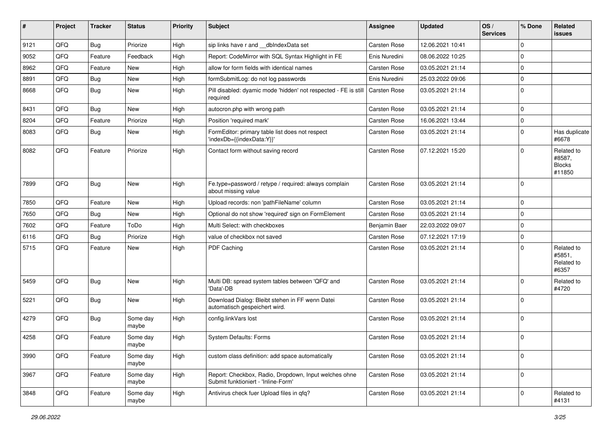| ∦    | Project | <b>Tracker</b> | <b>Status</b>     | <b>Priority</b> | <b>Subject</b>                                                                               | <b>Assignee</b> | <b>Updated</b>   | OS/<br><b>Services</b> | % Done      | <b>Related</b><br>issues                        |
|------|---------|----------------|-------------------|-----------------|----------------------------------------------------------------------------------------------|-----------------|------------------|------------------------|-------------|-------------------------------------------------|
| 9121 | QFQ     | <b>Bug</b>     | Priorize          | High            | sip links have r and __dbIndexData set                                                       | Carsten Rose    | 12.06.2021 10:41 |                        | $\Omega$    |                                                 |
| 9052 | QFQ     | Feature        | Feedback          | High            | Report: CodeMirror with SQL Syntax Highlight in FE                                           | Enis Nuredini   | 08.06.2022 10:25 |                        | $\Omega$    |                                                 |
| 8962 | QFQ     | Feature        | <b>New</b>        | High            | allow for form fields with identical names                                                   | Carsten Rose    | 03.05.2021 21:14 |                        | $\Omega$    |                                                 |
| 8891 | QFQ     | Bug            | New               | High            | formSubmitLog: do not log passwords                                                          | Enis Nuredini   | 25.03.2022 09:06 |                        | $\Omega$    |                                                 |
| 8668 | QFQ     | Bug            | <b>New</b>        | High            | Pill disabled: dyamic mode 'hidden' not respected - FE is still<br>required                  | Carsten Rose    | 03.05.2021 21:14 |                        | $\Omega$    |                                                 |
| 8431 | QFQ     | Bug            | New               | High            | autocron.php with wrong path                                                                 | Carsten Rose    | 03.05.2021 21:14 |                        | $\Omega$    |                                                 |
| 8204 | QFQ     | Feature        | Priorize          | High            | Position 'required mark'                                                                     | Carsten Rose    | 16.06.2021 13:44 |                        | $\Omega$    |                                                 |
| 8083 | QFQ     | <b>Bug</b>     | New               | High            | FormEditor: primary table list does not respect<br>'indexDb={{indexData:Y}}'                 | Carsten Rose    | 03.05.2021 21:14 |                        | $\Omega$    | Has duplicate<br>#6678                          |
| 8082 | QFQ     | Feature        | Priorize          | High            | Contact form without saving record                                                           | Carsten Rose    | 07.12.2021 15:20 |                        | $\Omega$    | Related to<br>#8587,<br><b>Blocks</b><br>#11850 |
| 7899 | QFQ     | <b>Bug</b>     | New               | High            | Fe.type=password / retype / required: always complain<br>about missing value                 | Carsten Rose    | 03.05.2021 21:14 |                        | $\Omega$    |                                                 |
| 7850 | QFQ     | Feature        | <b>New</b>        | High            | Upload records: non 'pathFileName' column                                                    | Carsten Rose    | 03.05.2021 21:14 |                        | $\Omega$    |                                                 |
| 7650 | QFQ     | <b>Bug</b>     | New               | High            | Optional do not show 'required' sign on FormElement                                          | Carsten Rose    | 03.05.2021 21:14 |                        | $\Omega$    |                                                 |
| 7602 | QFQ     | Feature        | ToDo              | High            | Multi Select: with checkboxes                                                                | Benjamin Baer   | 22.03.2022 09:07 |                        | $\Omega$    |                                                 |
| 6116 | QFQ     | Bug            | Priorize          | High            | value of checkbox not saved                                                                  | Carsten Rose    | 07.12.2021 17:19 |                        | $\Omega$    |                                                 |
| 5715 | QFQ     | Feature        | New               | High            | PDF Caching                                                                                  | Carsten Rose    | 03.05.2021 21:14 |                        | $\Omega$    | Related to<br>#5851,<br>Related to<br>#6357     |
| 5459 | QFQ     | Bug            | <b>New</b>        | High            | Multi DB: spread system tables between 'QFQ' and<br>'Data'-DB                                | Carsten Rose    | 03.05.2021 21:14 |                        | $\Omega$    | Related to<br>#4720                             |
| 5221 | QFQ     | <b>Bug</b>     | New               | High            | Download Dialog: Bleibt stehen in FF wenn Datei<br>automatisch gespeichert wird.             | Carsten Rose    | 03.05.2021 21:14 |                        | $\Omega$    |                                                 |
| 4279 | QFQ     | <b>Bug</b>     | Some day<br>maybe | High            | config.linkVars lost                                                                         | Carsten Rose    | 03.05.2021 21:14 |                        | $\Omega$    |                                                 |
| 4258 | QFQ     | Feature        | Some day<br>maybe | High            | <b>System Defaults: Forms</b>                                                                | Carsten Rose    | 03.05.2021 21:14 |                        | $\Omega$    |                                                 |
| 3990 | QFQ     | Feature        | Some day<br>maybe | High            | custom class definition: add space automatically                                             | Carsten Rose    | 03.05.2021 21:14 |                        | 0           |                                                 |
| 3967 | QFQ     | Feature        | Some day<br>maybe | High            | Report: Checkbox, Radio, Dropdown, Input welches ohne<br>Submit funktioniert - 'Inline-Form' | Carsten Rose    | 03.05.2021 21:14 |                        | $\mathbf 0$ |                                                 |
| 3848 | QFQ     | Feature        | Some day<br>maybe | High            | Antivirus check fuer Upload files in qfq?                                                    | Carsten Rose    | 03.05.2021 21:14 |                        | 0           | Related to<br>#4131                             |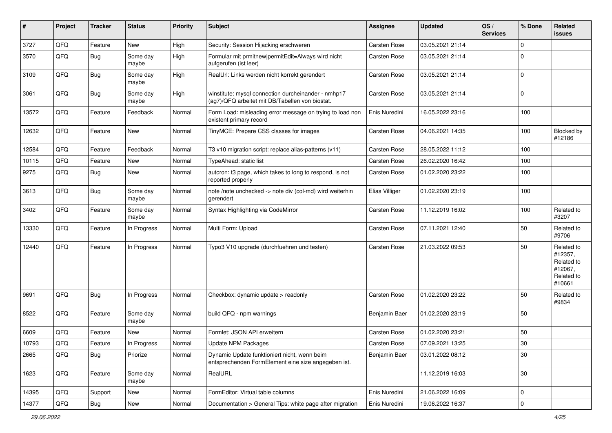| #     | Project | <b>Tracker</b> | <b>Status</b>     | <b>Priority</b> | <b>Subject</b>                                                                                         | Assignee       | <b>Updated</b>   | OS/<br><b>Services</b> | % Done      | <b>Related</b><br>issues                                               |
|-------|---------|----------------|-------------------|-----------------|--------------------------------------------------------------------------------------------------------|----------------|------------------|------------------------|-------------|------------------------------------------------------------------------|
| 3727  | QFQ     | Feature        | New               | High            | Security: Session Hijacking erschweren                                                                 | Carsten Rose   | 03.05.2021 21:14 |                        | $\Omega$    |                                                                        |
| 3570  | QFQ     | Bug            | Some day<br>maybe | High            | Formular mit prmitnew permitEdit=Always wird nicht<br>aufgerufen (ist leer)                            | Carsten Rose   | 03.05.2021 21:14 |                        | $\Omega$    |                                                                        |
| 3109  | QFQ     | Bug            | Some day<br>maybe | High            | RealUrl: Links werden nicht korrekt gerendert                                                          | Carsten Rose   | 03.05.2021 21:14 |                        | $\mathbf 0$ |                                                                        |
| 3061  | QFQ     | Bug            | Some day<br>maybe | High            | winstitute: mysql connection durcheinander - nmhp17<br>(ag7)/QFQ arbeitet mit DB/Tabellen von biostat. | Carsten Rose   | 03.05.2021 21:14 |                        | $\mathbf 0$ |                                                                        |
| 13572 | QFQ     | Feature        | Feedback          | Normal          | Form Load: misleading error message on trying to load non<br>existent primary record                   | Enis Nuredini  | 16.05.2022 23:16 |                        | 100         |                                                                        |
| 12632 | QFQ     | Feature        | New               | Normal          | TinyMCE: Prepare CSS classes for images                                                                | Carsten Rose   | 04.06.2021 14:35 |                        | 100         | Blocked by<br>#12186                                                   |
| 12584 | QFQ     | Feature        | Feedback          | Normal          | T3 v10 migration script: replace alias-patterns (v11)                                                  | Carsten Rose   | 28.05.2022 11:12 |                        | 100         |                                                                        |
| 10115 | QFQ     | Feature        | New               | Normal          | TypeAhead: static list                                                                                 | Carsten Rose   | 26.02.2020 16:42 |                        | 100         |                                                                        |
| 9275  | QFQ     | <b>Bug</b>     | New               | Normal          | autcron: t3 page, which takes to long to respond, is not<br>reported properly                          | Carsten Rose   | 01.02.2020 23:22 |                        | 100         |                                                                        |
| 3613  | QFQ     | <b>Bug</b>     | Some day<br>maybe | Normal          | note /note unchecked -> note div (col-md) wird weiterhin<br>gerendert                                  | Elias Villiger | 01.02.2020 23:19 |                        | 100         |                                                                        |
| 3402  | QFQ     | Feature        | Some day<br>maybe | Normal          | Syntax Highlighting via CodeMirror                                                                     | Carsten Rose   | 11.12.2019 16:02 |                        | 100         | Related to<br>#3207                                                    |
| 13330 | QFQ     | Feature        | In Progress       | Normal          | Multi Form: Upload                                                                                     | Carsten Rose   | 07.11.2021 12:40 |                        | 50          | Related to<br>#9706                                                    |
| 12440 | QFQ     | Feature        | In Progress       | Normal          | Typo3 V10 upgrade (durchfuehren und testen)                                                            | Carsten Rose   | 21.03.2022 09:53 |                        | 50          | Related to<br>#12357,<br>Related to<br>#12067,<br>Related to<br>#10661 |
| 9691  | QFQ     | <b>Bug</b>     | In Progress       | Normal          | Checkbox: dynamic update > readonly                                                                    | Carsten Rose   | 01.02.2020 23:22 |                        | 50          | Related to<br>#9834                                                    |
| 8522  | QFQ     | Feature        | Some day<br>maybe | Normal          | build QFQ - npm warnings                                                                               | Benjamin Baer  | 01.02.2020 23:19 |                        | 50          |                                                                        |
| 6609  | QFQ     | Feature        | <b>New</b>        | Normal          | Formlet: JSON API erweitern                                                                            | Carsten Rose   | 01.02.2020 23:21 |                        | 50          |                                                                        |
| 10793 | QFQ     | Feature        | In Progress       | Normal          | <b>Update NPM Packages</b>                                                                             | Carsten Rose   | 07.09.2021 13:25 |                        | 30          |                                                                        |
| 2665  | QFQ     | <b>Bug</b>     | Priorize          | Normal          | Dynamic Update funktioniert nicht, wenn beim<br>entsprechenden FormElement eine size angegeben ist.    | Benjamin Baer  | 03.01.2022 08:12 |                        | $30\,$      |                                                                        |
| 1623  | QFQ     | Feature        | Some day<br>maybe | Normal          | RealURL                                                                                                |                | 11.12.2019 16:03 |                        | $30\,$      |                                                                        |
| 14395 | QFQ     | Support        | New               | Normal          | FormEditor: Virtual table columns                                                                      | Enis Nuredini  | 21.06.2022 16:09 |                        | $\mathbf 0$ |                                                                        |
| 14377 | QFQ     | Bug            | New               | Normal          | Documentation > General Tips: white page after migration                                               | Enis Nuredini  | 19.06.2022 16:37 |                        | $\mathbf 0$ |                                                                        |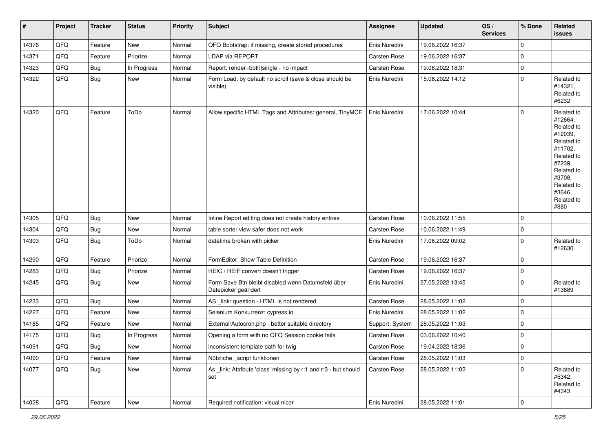| $\vert$ # | Project        | <b>Tracker</b> | <b>Status</b> | <b>Priority</b> | Subject                                                                   | Assignee        | <b>Updated</b>   | OS/<br><b>Services</b> | % Done       | Related<br>issues                                                                                                                                                     |
|-----------|----------------|----------------|---------------|-----------------|---------------------------------------------------------------------------|-----------------|------------------|------------------------|--------------|-----------------------------------------------------------------------------------------------------------------------------------------------------------------------|
| 14376     | QFQ            | Feature        | New           | Normal          | QFQ Bootstrap: if missing, create stored procedures                       | Enis Nuredini   | 19.06.2022 16:37 |                        | $\mathbf 0$  |                                                                                                                                                                       |
| 14371     | QFQ            | Feature        | Priorize      | Normal          | LDAP via REPORT                                                           | Carsten Rose    | 19.06.2022 16:37 |                        | 0            |                                                                                                                                                                       |
| 14323     | QFQ            | <b>Bug</b>     | In Progress   | Normal          | Report: render=both single - no impact                                    | Carsten Rose    | 19.06.2022 18:31 |                        | 0            |                                                                                                                                                                       |
| 14322     | QFQ            | Bug            | New           | Normal          | Form Load: by default no scroll (save & close should be<br>visible)       | Enis Nuredini   | 15.06.2022 14:12 |                        | $\mathbf 0$  | Related to<br>#14321,<br>Related to<br>#6232                                                                                                                          |
| 14320     | QFQ            | Feature        | ToDo          | Normal          | Allow specific HTML Tags and Attributes: general, TinyMCE                 | Enis Nuredini   | 17.06.2022 10:44 |                        | $\mathbf 0$  | Related to<br>#12664,<br>Related to<br>#12039,<br>Related to<br>#11702,<br>Related to<br>#7239,<br>Related to<br>#3708,<br>Related to<br>#3646,<br>Related to<br>#880 |
| 14305     | QFQ            | Bug            | New           | Normal          | Inline Report editing does not create history entries                     | Carsten Rose    | 10.06.2022 11:55 |                        | $\mathbf 0$  |                                                                                                                                                                       |
| 14304     | QFQ            | <b>Bug</b>     | New           | Normal          | table sorter view safer does not work                                     | Carsten Rose    | 10.06.2022 11:49 |                        | 0            |                                                                                                                                                                       |
| 14303     | QFQ            | Bug            | ToDo          | Normal          | datetime broken with picker                                               | Enis Nuredini   | 17.06.2022 09:02 |                        | $\mathbf 0$  | Related to<br>#12630                                                                                                                                                  |
| 14290     | QFQ            | Feature        | Priorize      | Normal          | FormEditor: Show Table Definition                                         | Carsten Rose    | 19.06.2022 16:37 |                        | $\mathbf 0$  |                                                                                                                                                                       |
| 14283     | QFQ            | Bug            | Priorize      | Normal          | HEIC / HEIF convert doesn't trigger                                       | Carsten Rose    | 19.06.2022 16:37 |                        | $\mathbf{0}$ |                                                                                                                                                                       |
| 14245     | QFQ            | Bug            | New           | Normal          | Form Save Btn bleibt disabled wenn Datumsfeld über<br>Datepicker geändert | Enis Nuredini   | 27.05.2022 13:45 |                        | $\mathbf{0}$ | Related to<br>#13689                                                                                                                                                  |
| 14233     | QFQ            | Bug            | New           | Normal          | AS _link: question - HTML is not rendered                                 | Carsten Rose    | 28.05.2022 11:02 |                        | 0            |                                                                                                                                                                       |
| 14227     | QFQ            | Feature        | New           | Normal          | Selenium Konkurrenz: cypress.io                                           | Enis Nuredini   | 28.05.2022 11:02 |                        | 0            |                                                                                                                                                                       |
| 14185     | QFQ            | Feature        | New           | Normal          | External/Autocron.php - better suitable directory                         | Support: System | 28.05.2022 11:03 |                        | 0            |                                                                                                                                                                       |
| 14175     | QFQ            | <b>Bug</b>     | In Progress   | Normal          | Opening a form with no QFQ Session cookie fails                           | Carsten Rose    | 03.06.2022 10:40 |                        | $\mathbf 0$  |                                                                                                                                                                       |
| 14091     | QFG            | Bug            | New           | Normal          | inconsistent template path for twig                                       | Carsten Rose    | 19.04.2022 18:36 |                        | 0            |                                                                                                                                                                       |
| 14090     | QFQ            | Feature        | New           | Normal          | Nützliche script funktionen                                               | Carsten Rose    | 28.05.2022 11:03 |                        | $\mathbf{0}$ |                                                                                                                                                                       |
| 14077     | QFQ            | <b>Bug</b>     | New           | Normal          | As link: Attribute 'class' missing by r:1 and r:3 - but should<br>set     | Carsten Rose    | 28.05.2022 11:02 |                        | $\mathbf{0}$ | Related to<br>#5342,<br>Related to<br>#4343                                                                                                                           |
| 14028     | $\mathsf{QFQ}$ | Feature        | New           | Normal          | Required notification: visual nicer                                       | Enis Nuredini   | 28.05.2022 11:01 |                        | $\mathsf{O}$ |                                                                                                                                                                       |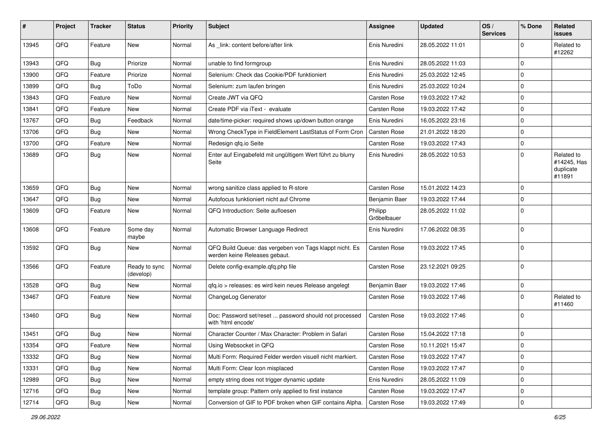| ∦     | Project | <b>Tracker</b> | <b>Status</b>              | <b>Priority</b> | Subject                                                                                  | Assignee               | <b>Updated</b>   | OS/<br><b>Services</b> | % Done      | <b>Related</b><br>issues                         |
|-------|---------|----------------|----------------------------|-----------------|------------------------------------------------------------------------------------------|------------------------|------------------|------------------------|-------------|--------------------------------------------------|
| 13945 | QFQ     | Feature        | <b>New</b>                 | Normal          | As link: content before/after link                                                       | Enis Nuredini          | 28.05.2022 11:01 |                        | $\Omega$    | Related to<br>#12262                             |
| 13943 | QFQ     | <b>Bug</b>     | Priorize                   | Normal          | unable to find formgroup                                                                 | Enis Nuredini          | 28.05.2022 11:03 |                        | $\Omega$    |                                                  |
| 13900 | QFQ     | Feature        | Priorize                   | Normal          | Selenium: Check das Cookie/PDF funktioniert                                              | Enis Nuredini          | 25.03.2022 12:45 |                        | $\Omega$    |                                                  |
| 13899 | QFQ     | <b>Bug</b>     | ToDo                       | Normal          | Selenium: zum laufen bringen                                                             | Enis Nuredini          | 25.03.2022 10:24 |                        | $\Omega$    |                                                  |
| 13843 | QFQ     | Feature        | New                        | Normal          | Create JWT via QFQ                                                                       | Carsten Rose           | 19.03.2022 17:42 |                        | $\mathbf 0$ |                                                  |
| 13841 | QFQ     | Feature        | New                        | Normal          | Create PDF via iText - evaluate                                                          | Carsten Rose           | 19.03.2022 17:42 |                        | 0           |                                                  |
| 13767 | QFQ     | <b>Bug</b>     | Feedback                   | Normal          | date/time-picker: required shows up/down button orange                                   | Enis Nuredini          | 16.05.2022 23:16 |                        | $\Omega$    |                                                  |
| 13706 | QFQ     | <b>Bug</b>     | <b>New</b>                 | Normal          | Wrong CheckType in FieldElement LastStatus of Form Cron                                  | Carsten Rose           | 21.01.2022 18:20 |                        | $\mathbf 0$ |                                                  |
| 13700 | QFQ     | Feature        | <b>New</b>                 | Normal          | Redesign qfq.io Seite                                                                    | Carsten Rose           | 19.03.2022 17:43 |                        | $\Omega$    |                                                  |
| 13689 | QFQ     | <b>Bug</b>     | <b>New</b>                 | Normal          | Enter auf Eingabefeld mit ungültigem Wert führt zu blurry<br>Seite                       | Enis Nuredini          | 28.05.2022 10:53 |                        | $\mathbf 0$ | Related to<br>#14245, Has<br>duplicate<br>#11891 |
| 13659 | QFQ     | <b>Bug</b>     | <b>New</b>                 | Normal          | wrong sanitize class applied to R-store                                                  | Carsten Rose           | 15.01.2022 14:23 |                        | $\mathbf 0$ |                                                  |
| 13647 | QFQ     | <b>Bug</b>     | <b>New</b>                 | Normal          | Autofocus funktioniert nicht auf Chrome                                                  | Benjamin Baer          | 19.03.2022 17:44 |                        | $\Omega$    |                                                  |
| 13609 | QFQ     | Feature        | New                        | Normal          | QFQ Introduction: Seite aufloesen                                                        | Philipp<br>Gröbelbauer | 28.05.2022 11:02 |                        | $\Omega$    |                                                  |
| 13608 | QFQ     | Feature        | Some day<br>maybe          | Normal          | Automatic Browser Language Redirect                                                      | Enis Nuredini          | 17.06.2022 08:35 |                        | $\mathbf 0$ |                                                  |
| 13592 | QFQ     | <b>Bug</b>     | <b>New</b>                 | Normal          | QFQ Build Queue: das vergeben von Tags klappt nicht. Es<br>werden keine Releases gebaut. | Carsten Rose           | 19.03.2022 17:45 |                        | $\Omega$    |                                                  |
| 13566 | QFQ     | Feature        | Ready to sync<br>(develop) | Normal          | Delete config-example.qfq.php file                                                       | Carsten Rose           | 23.12.2021 09:25 |                        | $\Omega$    |                                                  |
| 13528 | QFQ     | <b>Bug</b>     | <b>New</b>                 | Normal          | gfg.io > releases: es wird kein neues Release angelegt                                   | Benjamin Baer          | 19.03.2022 17:46 |                        | $\mathbf 0$ |                                                  |
| 13467 | QFQ     | Feature        | <b>New</b>                 | Normal          | ChangeLog Generator                                                                      | Carsten Rose           | 19.03.2022 17:46 |                        | $\Omega$    | Related to<br>#11460                             |
| 13460 | QFQ     | <b>Bug</b>     | <b>New</b>                 | Normal          | Doc: Password set/reset  password should not processed<br>with 'html encode'             | Carsten Rose           | 19.03.2022 17:46 |                        | $\mathbf 0$ |                                                  |
| 13451 | QFQ     | <b>Bug</b>     | New                        | Normal          | Character Counter / Max Character: Problem in Safari                                     | Carsten Rose           | 15.04.2022 17:18 |                        | $\mathbf 0$ |                                                  |
| 13354 | QFG     | Feature        | New                        | Normal          | Using Websocket in QFQ                                                                   | Carsten Rose           | 10.11.2021 15:47 |                        | $\Omega$    |                                                  |
| 13332 | QFQ     | Bug            | New                        | Normal          | Multi Form: Required Felder werden visuell nicht markiert.                               | Carsten Rose           | 19.03.2022 17:47 |                        | $\Omega$    |                                                  |
| 13331 | QFQ     | <b>Bug</b>     | New                        | Normal          | Multi Form: Clear Icon misplaced                                                         | Carsten Rose           | 19.03.2022 17:47 |                        | $\mathbf 0$ |                                                  |
| 12989 | QFQ     | <b>Bug</b>     | New                        | Normal          | empty string does not trigger dynamic update                                             | Enis Nuredini          | 28.05.2022 11:09 |                        | 0           |                                                  |
| 12716 | QFQ     | <b>Bug</b>     | New                        | Normal          | template group: Pattern only applied to first instance                                   | Carsten Rose           | 19.03.2022 17:47 |                        | 0           |                                                  |
| 12714 | QFG     | <b>Bug</b>     | New                        | Normal          | Conversion of GIF to PDF broken when GIF contains Alpha.                                 | <b>Carsten Rose</b>    | 19.03.2022 17:49 |                        | $\mathbf 0$ |                                                  |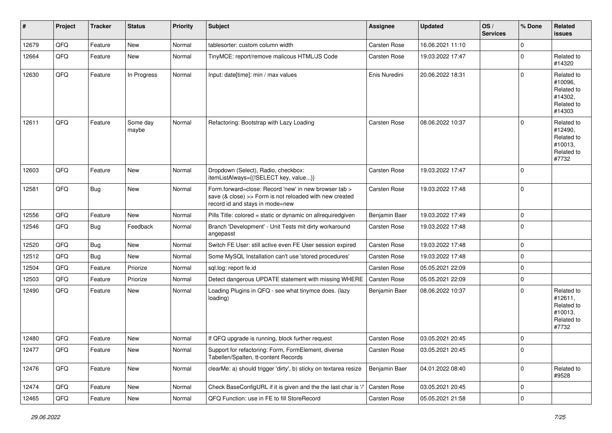| ∦     | Project        | <b>Tracker</b> | <b>Status</b>     | <b>Priority</b> | <b>Subject</b>                                                                                                                                      | <b>Assignee</b> | <b>Updated</b>   | OS/<br><b>Services</b> | % Done    | Related<br>issues                                                      |
|-------|----------------|----------------|-------------------|-----------------|-----------------------------------------------------------------------------------------------------------------------------------------------------|-----------------|------------------|------------------------|-----------|------------------------------------------------------------------------|
| 12679 | QFQ            | Feature        | <b>New</b>        | Normal          | tablesorter: custom column width                                                                                                                    | Carsten Rose    | 16.06.2021 11:10 |                        | $\Omega$  |                                                                        |
| 12664 | QFQ            | Feature        | <b>New</b>        | Normal          | TinyMCE: report/remove malicous HTML/JS Code                                                                                                        | Carsten Rose    | 19.03.2022 17:47 |                        | $\Omega$  | Related to<br>#14320                                                   |
| 12630 | QFQ            | Feature        | In Progress       | Normal          | Input: date[time]: min / max values                                                                                                                 | Enis Nuredini   | 20.06.2022 18:31 |                        | $\Omega$  | Related to<br>#10096,<br>Related to<br>#14302,<br>Related to<br>#14303 |
| 12611 | QFQ            | Feature        | Some day<br>maybe | Normal          | Refactoring: Bootstrap with Lazy Loading                                                                                                            | Carsten Rose    | 08.06.2022 10:37 |                        | $\Omega$  | Related to<br>#12490,<br>Related to<br>#10013,<br>Related to<br>#7732  |
| 12603 | QFQ            | Feature        | <b>New</b>        | Normal          | Dropdown (Select), Radio, checkbox:<br>itemListAlways={{!SELECT key, value}}                                                                        | Carsten Rose    | 19.03.2022 17:47 |                        | $\Omega$  |                                                                        |
| 12581 | QFQ            | <b>Bug</b>     | New               | Normal          | Form.forward=close: Record 'new' in new browser tab ><br>save (& close) >> Form is not reloaded with new created<br>record id and stays in mode=new | Carsten Rose    | 19.03.2022 17:48 |                        | $\Omega$  |                                                                        |
| 12556 | QFQ            | Feature        | New               | Normal          | Pills Title: colored = static or dynamic on allrequiredgiven                                                                                        | Benjamin Baer   | 19.03.2022 17:49 |                        | $\Omega$  |                                                                        |
| 12546 | QFQ            | Bug            | Feedback          | Normal          | Branch 'Development' - Unit Tests mit dirty workaround<br>angepasst                                                                                 | Carsten Rose    | 19.03.2022 17:48 |                        | $\Omega$  |                                                                        |
| 12520 | QFQ            | Bug            | New               | Normal          | Switch FE User: still active even FE User session expired                                                                                           | Carsten Rose    | 19.03.2022 17:48 |                        | $\Omega$  |                                                                        |
| 12512 | QFQ            | Bug            | New               | Normal          | Some MySQL Installation can't use 'stored procedures'                                                                                               | Carsten Rose    | 19.03.2022 17:48 |                        | $\Omega$  |                                                                        |
| 12504 | QFQ            | Feature        | Priorize          | Normal          | sql.log: report fe.id                                                                                                                               | Carsten Rose    | 05.05.2021 22:09 |                        | $\Omega$  |                                                                        |
| 12503 | QFQ            | Feature        | Priorize          | Normal          | Detect dangerous UPDATE statement with missing WHERE                                                                                                | Carsten Rose    | 05.05.2021 22:09 |                        | $\Omega$  |                                                                        |
| 12490 | QFQ            | Feature        | New               | Normal          | Loading Plugins in QFQ - see what tinymce does. (lazy<br>loading)                                                                                   | Benjamin Baer   | 08.06.2022 10:37 |                        | $\Omega$  | Related to<br>#12611,<br>Related to<br>#10013,<br>Related to<br>#7732  |
| 12480 | QFQ            | Feature        | New               | Normal          | If QFQ upgrade is running, block further request                                                                                                    | Carsten Rose    | 03.05.2021 20:45 |                        | $\Omega$  |                                                                        |
| 12477 | QFQ            | Feature        | New               | Normal          | Support for refactoring: Form, FormElement, diverse<br>Tabellen/Spalten, tt-content Records                                                         | Carsten Rose    | 03.05.2021 20:45 |                        | 0         |                                                                        |
| 12476 | QFO            | Feature        | New               | Normal          | clearMe: a) should trigger 'dirty', b) sticky on textarea resize                                                                                    | Benjamin Baer   | 04.01.2022 08:40 |                        | 0         | Related to<br>#9528                                                    |
| 12474 | QFQ            | Feature        | New               | Normal          | Check BaseConfigURL if it is given and the the last char is '/'                                                                                     | Carsten Rose    | 03.05.2021 20:45 |                        | 0         |                                                                        |
| 12465 | $\mathsf{QFQ}$ | Feature        | New               | Normal          | QFQ Function: use in FE to fill StoreRecord                                                                                                         | Carsten Rose    | 05.05.2021 21:58 |                        | $\pmb{0}$ |                                                                        |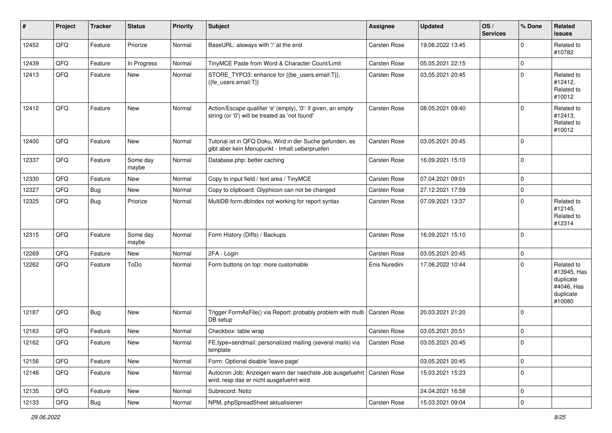| #     | Project | <b>Tracker</b> | <b>Status</b>     | <b>Priority</b> | <b>Subject</b>                                                                                                      | <b>Assignee</b>     | <b>Updated</b>   | OS/<br><b>Services</b> | % Done      | Related<br>issues                                                           |
|-------|---------|----------------|-------------------|-----------------|---------------------------------------------------------------------------------------------------------------------|---------------------|------------------|------------------------|-------------|-----------------------------------------------------------------------------|
| 12452 | QFQ     | Feature        | Priorize          | Normal          | BaseURL: alsways with '/' at the end                                                                                | Carsten Rose        | 19.06.2022 13:45 |                        | $\Omega$    | Related to<br>#10782                                                        |
| 12439 | QFQ     | Feature        | In Progress       | Normal          | TinyMCE Paste from Word & Character Count/Limit                                                                     | Carsten Rose        | 05.05.2021 22:15 |                        | $\Omega$    |                                                                             |
| 12413 | QFQ     | Feature        | New               | Normal          | STORE_TYPO3: enhance for {{be_users.email:T}},<br>{{fe users.email:T}}                                              | Carsten Rose        | 03.05.2021 20:45 |                        | $\Omega$    | Related to<br>#12412,<br>Related to<br>#10012                               |
| 12412 | QFQ     | Feature        | <b>New</b>        | Normal          | Action/Escape qualifier 'e' (empty), '0': if given, an empty<br>string (or '0') will be treated as 'not found'      | Carsten Rose        | 08.05.2021 09:40 |                        | $\Omega$    | Related to<br>#12413,<br>Related to<br>#10012                               |
| 12400 | QFQ     | Feature        | <b>New</b>        | Normal          | Tutorial ist in QFQ Doku, Wird in der Suche gefunden, es<br>gibt aber kein Menupunkt - Inhalt ueberpruefen          | Carsten Rose        | 03.05.2021 20:45 |                        | $\Omega$    |                                                                             |
| 12337 | QFQ     | Feature        | Some day<br>maybe | Normal          | Database.php: better caching                                                                                        | Carsten Rose        | 16.09.2021 15:10 |                        | $\Omega$    |                                                                             |
| 12330 | QFQ     | Feature        | New               | Normal          | Copy to input field / text area / TinyMCE                                                                           | <b>Carsten Rose</b> | 07.04.2021 09:01 |                        | $\Omega$    |                                                                             |
| 12327 | QFQ     | <b>Bug</b>     | <b>New</b>        | Normal          | Copy to clipboard: Glyphicon can not be changed                                                                     | Carsten Rose        | 27.12.2021 17:59 |                        | $\Omega$    |                                                                             |
| 12325 | QFQ     | <b>Bug</b>     | Priorize          | Normal          | MultiDB form.dblndex not working for report syntax                                                                  | Carsten Rose        | 07.09.2021 13:37 |                        | $\Omega$    | Related to<br>#12145,<br>Related to<br>#12314                               |
| 12315 | QFQ     | Feature        | Some day<br>maybe | Normal          | Form History (Diffs) / Backups                                                                                      | Carsten Rose        | 16.09.2021 15:10 |                        | $\Omega$    |                                                                             |
| 12269 | QFQ     | Feature        | <b>New</b>        | Normal          | 2FA - Login                                                                                                         | Carsten Rose        | 03.05.2021 20:45 |                        | $\Omega$    |                                                                             |
| 12262 | QFQ     | Feature        | ToDo              | Normal          | Form buttons on top: more customable                                                                                | Enis Nuredini       | 17.06.2022 10:44 |                        | $\Omega$    | Related to<br>#13945, Has<br>duplicate<br>#4046, Has<br>duplicate<br>#10080 |
| 12187 | QFQ     | <b>Bug</b>     | <b>New</b>        | Normal          | Trigger FormAsFile() via Report: probably problem with multi   Carsten Rose<br>DB setup                             |                     | 20.03.2021 21:20 |                        | $\Omega$    |                                                                             |
| 12163 | QFQ     | Feature        | <b>New</b>        | Normal          | Checkbox: table wrap                                                                                                | <b>Carsten Rose</b> | 03.05.2021 20:51 |                        | $\Omega$    |                                                                             |
| 12162 | QFQ     | Feature        | New               | Normal          | FE.type=sendmail: personalized mailing (several mails) via<br>template                                              | Carsten Rose        | 03.05.2021 20:45 |                        | $\Omega$    |                                                                             |
| 12156 | QFQ     | Feature        | New               | Normal          | Form: Optional disable 'leave page'                                                                                 |                     | 03.05.2021 20:45 |                        | $\mathbf 0$ |                                                                             |
| 12146 | QFQ     | Feature        | New               | Normal          | Autocron Job: Anzeigen wann der naechste Job ausgefuehrt   Carsten Rose<br>wird, resp das er nicht ausgefuehrt wird |                     | 15.03.2021 15:23 |                        | $\Omega$    |                                                                             |
| 12135 | QFQ     | Feature        | New               | Normal          | Subrecord: Notiz                                                                                                    |                     | 24.04.2021 16:58 |                        | $\mathbf 0$ |                                                                             |
| 12133 | QFG     | Bug            | New               | Normal          | NPM, phpSpreadSheet aktualisieren                                                                                   | Carsten Rose        | 15.03.2021 09:04 |                        | 0           |                                                                             |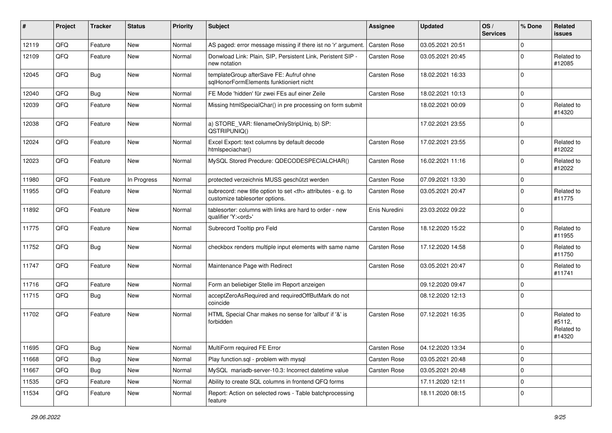| #     | Project | <b>Tracker</b> | <b>Status</b> | <b>Priority</b> | <b>Subject</b>                                                                                       | Assignee                                               | <b>Updated</b>   | OS/<br><b>Services</b> | % Done      | <b>Related</b><br>issues                     |                      |
|-------|---------|----------------|---------------|-----------------|------------------------------------------------------------------------------------------------------|--------------------------------------------------------|------------------|------------------------|-------------|----------------------------------------------|----------------------|
| 12119 | QFQ     | Feature        | <b>New</b>    | Normal          | AS paged: error message missing if there ist no 'r' argument.                                        | Carsten Rose                                           | 03.05.2021 20:51 |                        | $\Omega$    |                                              |                      |
| 12109 | QFQ     | Feature        | <b>New</b>    | Normal          | Donwload Link: Plain, SIP, Persistent Link, Peristent SIP -<br>new notation                          | Carsten Rose                                           | 03.05.2021 20:45 |                        | $\Omega$    | Related to<br>#12085                         |                      |
| 12045 | QFQ     | Bug            | <b>New</b>    | Normal          | templateGroup afterSave FE: Aufruf ohne<br>sglHonorFormElements funktioniert nicht                   | Carsten Rose                                           | 18.02.2021 16:33 |                        | $\Omega$    |                                              |                      |
| 12040 | QFQ     | Bug            | <b>New</b>    | Normal          | FE Mode 'hidden' für zwei FEs auf einer Zeile                                                        | Carsten Rose                                           | 18.02.2021 10:13 |                        | $\Omega$    |                                              |                      |
| 12039 | QFQ     | Feature        | <b>New</b>    | Normal          | Missing htmlSpecialChar() in pre processing on form submit                                           |                                                        | 18.02.2021 00:09 |                        | $\Omega$    | Related to<br>#14320                         |                      |
| 12038 | QFQ     | Feature        | <b>New</b>    | Normal          | a) STORE_VAR: filenameOnlyStripUniq, b) SP:<br>QSTRIPUNIQ()                                          |                                                        | 17.02.2021 23:55 |                        | $\Omega$    |                                              |                      |
| 12024 | QFQ     | Feature        | <b>New</b>    | Normal          | Excel Export: text columns by default decode<br>htmlspeciachar()                                     | Carsten Rose                                           | 17.02.2021 23:55 |                        | $\Omega$    | Related to<br>#12022                         |                      |
| 12023 | QFQ     | Feature        | <b>New</b>    | Normal          | MySQL Stored Precdure: QDECODESPECIALCHAR()                                                          | Carsten Rose                                           | 16.02.2021 11:16 |                        | $\Omega$    | Related to<br>#12022                         |                      |
| 11980 | QFQ     | Feature        | In Progress   | Normal          | protected verzeichnis MUSS geschützt werden                                                          | Carsten Rose                                           | 07.09.2021 13:30 |                        | $\Omega$    |                                              |                      |
| 11955 | QFQ     | Feature        | New           | Normal          | subrecord: new title option to set <th> attributes - e.g. to<br/>customize tablesorter options.</th> | attributes - e.g. to<br>customize tablesorter options. | Carsten Rose     | 03.05.2021 20:47       |             | $\Omega$                                     | Related to<br>#11775 |
| 11892 | QFQ     | Feature        | <b>New</b>    | Normal          | tablesorter: columns with links are hard to order - new<br>qualifier 'Y: <ord>'</ord>                | Enis Nuredini                                          | 23.03.2022 09:22 |                        | $\Omega$    |                                              |                      |
| 11775 | QFQ     | Feature        | <b>New</b>    | Normal          | Subrecord Tooltip pro Feld                                                                           | Carsten Rose                                           | 18.12.2020 15:22 |                        | $\Omega$    | Related to<br>#11955                         |                      |
| 11752 | QFQ     | Bug            | <b>New</b>    | Normal          | checkbox renders multiple input elements with same name                                              | Carsten Rose                                           | 17.12.2020 14:58 |                        | $\Omega$    | Related to<br>#11750                         |                      |
| 11747 | QFQ     | Feature        | <b>New</b>    | Normal          | Maintenance Page with Redirect                                                                       | Carsten Rose                                           | 03.05.2021 20:47 |                        | $\Omega$    | Related to<br>#11741                         |                      |
| 11716 | QFQ     | Feature        | <b>New</b>    | Normal          | Form an beliebiger Stelle im Report anzeigen                                                         |                                                        | 09.12.2020 09:47 |                        | $\mathbf 0$ |                                              |                      |
| 11715 | QFQ     | Bug            | <b>New</b>    | Normal          | acceptZeroAsRequired and requiredOffButMark do not<br>coincide                                       |                                                        | 08.12.2020 12:13 |                        | $\Omega$    |                                              |                      |
| 11702 | QFQ     | Feature        | <b>New</b>    | Normal          | HTML Special Char makes no sense for 'allbut' if '&' is<br>forbidden                                 | Carsten Rose                                           | 07.12.2021 16:35 |                        | $\Omega$    | Related to<br>#5112,<br>Related to<br>#14320 |                      |
| 11695 | QFQ     | <b>Bug</b>     | New           | Normal          | MultiForm required FE Error                                                                          | Carsten Rose                                           | 04.12.2020 13:34 |                        | 0           |                                              |                      |
| 11668 | QFQ     | Bug            | <b>New</b>    | Normal          | Play function.sql - problem with mysql                                                               | Carsten Rose                                           | 03.05.2021 20:48 |                        | $\mathbf 0$ |                                              |                      |
| 11667 | QFQ     | Bug            | New           | Normal          | MySQL mariadb-server-10.3: Incorrect datetime value                                                  | Carsten Rose                                           | 03.05.2021 20:48 |                        | 0           |                                              |                      |
| 11535 | QFQ     | Feature        | New           | Normal          | Ability to create SQL columns in frontend QFQ forms                                                  |                                                        | 17.11.2020 12:11 |                        | 0           |                                              |                      |
| 11534 | QFQ     | Feature        | New           | Normal          | Report: Action on selected rows - Table batchprocessing<br>feature                                   |                                                        | 18.11.2020 08:15 |                        | 0           |                                              |                      |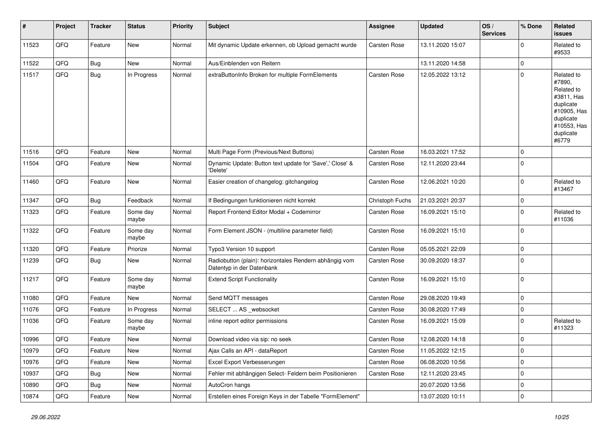| #     | Project | <b>Tracker</b> | <b>Status</b>     | <b>Priority</b> | <b>Subject</b>                                                                      | <b>Assignee</b>     | <b>Updated</b>   | OS/<br><b>Services</b> | % Done      | <b>Related</b><br><b>issues</b>                                                                                                |
|-------|---------|----------------|-------------------|-----------------|-------------------------------------------------------------------------------------|---------------------|------------------|------------------------|-------------|--------------------------------------------------------------------------------------------------------------------------------|
| 11523 | QFQ     | Feature        | New               | Normal          | Mit dynamic Update erkennen, ob Upload gemacht wurde                                | <b>Carsten Rose</b> | 13.11.2020 15:07 |                        | $\Omega$    | Related to<br>#9533                                                                                                            |
| 11522 | QFQ     | Bug            | New               | Normal          | Aus/Einblenden von Reitern                                                          |                     | 13.11.2020 14:58 |                        | $\mathbf 0$ |                                                                                                                                |
| 11517 | QFQ     | <b>Bug</b>     | In Progress       | Normal          | extraButtonInfo Broken for multiple FormElements                                    | Carsten Rose        | 12.05.2022 13:12 |                        | $\Omega$    | Related to<br>#7890,<br>Related to<br>#3811, Has<br>duplicate<br>#10905, Has<br>duplicate<br>#10553, Has<br>duplicate<br>#6779 |
| 11516 | QFQ     | Feature        | <b>New</b>        | Normal          | Multi Page Form (Previous/Next Buttons)                                             | Carsten Rose        | 16.03.2021 17:52 |                        | $\mathbf 0$ |                                                                                                                                |
| 11504 | QFQ     | Feature        | <b>New</b>        | Normal          | Dynamic Update: Button text update for 'Save',' Close' &<br>'Delete'                | <b>Carsten Rose</b> | 12.11.2020 23:44 |                        | $\mathbf 0$ |                                                                                                                                |
| 11460 | QFQ     | Feature        | <b>New</b>        | Normal          | Easier creation of changelog: gitchangelog                                          | Carsten Rose        | 12.06.2021 10:20 |                        | $\mathbf 0$ | Related to<br>#13467                                                                                                           |
| 11347 | QFQ     | <b>Bug</b>     | Feedback          | Normal          | If Bedingungen funktionieren nicht korrekt                                          | Christoph Fuchs     | 21.03.2021 20:37 |                        | $\Omega$    |                                                                                                                                |
| 11323 | QFQ     | Feature        | Some day<br>maybe | Normal          | Report Frontend Editor Modal + Codemirror                                           | <b>Carsten Rose</b> | 16.09.2021 15:10 |                        | $\mathbf 0$ | Related to<br>#11036                                                                                                           |
| 11322 | QFQ     | Feature        | Some day<br>maybe | Normal          | Form Element JSON - (multiline parameter field)                                     | Carsten Rose        | 16.09.2021 15:10 |                        | $\mathbf 0$ |                                                                                                                                |
| 11320 | QFQ     | Feature        | Priorize          | Normal          | Typo3 Version 10 support                                                            | Carsten Rose        | 05.05.2021 22:09 |                        | $\mathbf 0$ |                                                                                                                                |
| 11239 | QFQ     | Bug            | New               | Normal          | Radiobutton (plain): horizontales Rendern abhängig vom<br>Datentyp in der Datenbank | <b>Carsten Rose</b> | 30.09.2020 18:37 |                        | $\Omega$    |                                                                                                                                |
| 11217 | QFQ     | Feature        | Some day<br>maybe | Normal          | <b>Extend Script Functionality</b>                                                  | <b>Carsten Rose</b> | 16.09.2021 15:10 |                        | $\mathbf 0$ |                                                                                                                                |
| 11080 | QFQ     | Feature        | <b>New</b>        | Normal          | Send MQTT messages                                                                  | Carsten Rose        | 29.08.2020 19:49 |                        | $\mathbf 0$ |                                                                                                                                |
| 11076 | QFQ     | Feature        | In Progress       | Normal          | SELECT  AS _websocket                                                               | <b>Carsten Rose</b> | 30.08.2020 17:49 |                        | 0           |                                                                                                                                |
| 11036 | QFQ     | Feature        | Some day<br>maybe | Normal          | inline report editor permissions                                                    | Carsten Rose        | 16.09.2021 15:09 |                        | $\mathbf 0$ | Related to<br>#11323                                                                                                           |
| 10996 | QFQ     | Feature        | New               | Normal          | Download video via sip: no seek                                                     | Carsten Rose        | 12.08.2020 14:18 |                        | $\mathbf 0$ |                                                                                                                                |
| 10979 | QFQ     | Feature        | New               | Normal          | Ajax Calls an API - dataReport                                                      | Carsten Rose        | 11.05.2022 12:15 |                        | $\mathbf 0$ |                                                                                                                                |
| 10976 | QFQ     | Feature        | New               | Normal          | Excel Export Verbesserungen                                                         | Carsten Rose        | 06.08.2020 10:56 |                        | $\mathbf 0$ |                                                                                                                                |
| 10937 | QFQ     | Bug            | <b>New</b>        | Normal          | Fehler mit abhängigen Select- Feldern beim Positionieren                            | Carsten Rose        | 12.11.2020 23:45 |                        | $\mathbf 0$ |                                                                                                                                |
| 10890 | QFQ     | <b>Bug</b>     | <b>New</b>        | Normal          | AutoCron hangs                                                                      |                     | 20.07.2020 13:56 |                        | 0           |                                                                                                                                |
| 10874 | QFQ     | Feature        | New               | Normal          | Erstellen eines Foreign Keys in der Tabelle "FormElement"                           |                     | 13.07.2020 10:11 |                        | $\mathbf 0$ |                                                                                                                                |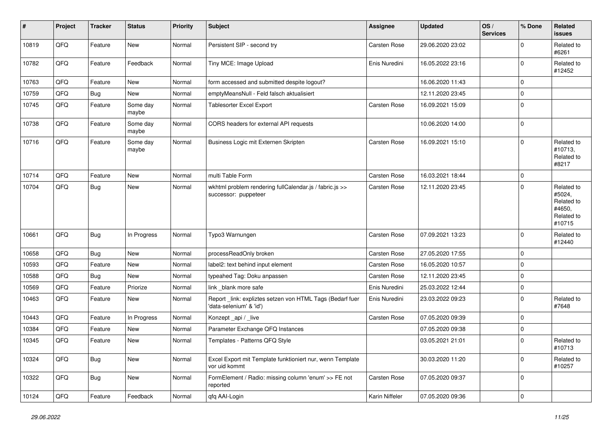| #     | Project | <b>Tracker</b> | <b>Status</b>     | <b>Priority</b> | <b>Subject</b>                                                                      | <b>Assignee</b> | <b>Updated</b>   | OS/<br><b>Services</b> | % Done      | <b>Related</b><br>issues                                             |
|-------|---------|----------------|-------------------|-----------------|-------------------------------------------------------------------------------------|-----------------|------------------|------------------------|-------------|----------------------------------------------------------------------|
| 10819 | QFQ     | Feature        | New               | Normal          | Persistent SIP - second try                                                         | Carsten Rose    | 29.06.2020 23:02 |                        | $\Omega$    | Related to<br>#6261                                                  |
| 10782 | QFQ     | Feature        | Feedback          | Normal          | Tiny MCE: Image Upload                                                              | Enis Nuredini   | 16.05.2022 23:16 |                        | $\Omega$    | Related to<br>#12452                                                 |
| 10763 | QFQ     | Feature        | New               | Normal          | form accessed and submitted despite logout?                                         |                 | 16.06.2020 11:43 |                        | $\Omega$    |                                                                      |
| 10759 | QFQ     | Bug            | <b>New</b>        | Normal          | emptyMeansNull - Feld falsch aktualisiert                                           |                 | 12.11.2020 23:45 |                        | $\Omega$    |                                                                      |
| 10745 | QFQ     | Feature        | Some day<br>maybe | Normal          | <b>Tablesorter Excel Export</b>                                                     | Carsten Rose    | 16.09.2021 15:09 |                        | $\mathbf 0$ |                                                                      |
| 10738 | QFQ     | Feature        | Some day<br>maybe | Normal          | CORS headers for external API requests                                              |                 | 10.06.2020 14:00 |                        | $\mathbf 0$ |                                                                      |
| 10716 | QFQ     | Feature        | Some day<br>maybe | Normal          | Business Logic mit Externen Skripten                                                | Carsten Rose    | 16.09.2021 15:10 |                        | $\Omega$    | Related to<br>#10713,<br>Related to<br>#8217                         |
| 10714 | QFQ     | Feature        | <b>New</b>        | Normal          | multi Table Form                                                                    | Carsten Rose    | 16.03.2021 18:44 |                        | $\mathbf 0$ |                                                                      |
| 10704 | QFQ     | Bug            | <b>New</b>        | Normal          | wkhtml problem rendering fullCalendar.js / fabric.js >><br>successor: puppeteer     | Carsten Rose    | 12.11.2020 23:45 |                        | $\Omega$    | Related to<br>#5024,<br>Related to<br>#4650,<br>Related to<br>#10715 |
| 10661 | QFQ     | <b>Bug</b>     | In Progress       | Normal          | Typo3 Warnungen                                                                     | Carsten Rose    | 07.09.2021 13:23 |                        | $\Omega$    | Related to<br>#12440                                                 |
| 10658 | QFQ     | <b>Bug</b>     | New               | Normal          | processReadOnly broken                                                              | Carsten Rose    | 27.05.2020 17:55 |                        | $\Omega$    |                                                                      |
| 10593 | QFQ     | Feature        | New               | Normal          | label2: text behind input element                                                   | Carsten Rose    | 16.05.2020 10:57 |                        | $\Omega$    |                                                                      |
| 10588 | QFQ     | <b>Bug</b>     | New               | Normal          | typeahed Tag: Doku anpassen                                                         | Carsten Rose    | 12.11.2020 23:45 |                        | $\Omega$    |                                                                      |
| 10569 | QFQ     | Feature        | Priorize          | Normal          | link _blank more safe                                                               | Enis Nuredini   | 25.03.2022 12:44 |                        | $\mathbf 0$ |                                                                      |
| 10463 | QFQ     | Feature        | New               | Normal          | Report_link: expliztes setzen von HTML Tags (Bedarf fuer<br>'data-selenium' & 'id') | Enis Nuredini   | 23.03.2022 09:23 |                        | $\Omega$    | Related to<br>#7648                                                  |
| 10443 | QFQ     | Feature        | In Progress       | Normal          | Konzept _api / _live                                                                | Carsten Rose    | 07.05.2020 09:39 |                        | $\Omega$    |                                                                      |
| 10384 | QFQ     | Feature        | New               | Normal          | Parameter Exchange QFQ Instances                                                    |                 | 07.05.2020 09:38 |                        | $\mathbf 0$ |                                                                      |
| 10345 | QFQ     | Feature        | New               | Normal          | Templates - Patterns QFQ Style                                                      |                 | 03.05.2021 21:01 |                        | $\Omega$    | Related to<br>#10/13                                                 |
| 10324 | QFQ     | <b>Bug</b>     | New               | Normal          | Excel Export mit Template funktioniert nur, wenn Template<br>vor uid kommt          |                 | 30.03.2020 11:20 |                        | 0           | Related to<br>#10257                                                 |
| 10322 | QFO     | Bug            | New               | Normal          | FormElement / Radio: missing column 'enum' >> FE not<br>reported                    | Carsten Rose    | 07.05.2020 09:37 |                        | 0           |                                                                      |
| 10124 | QFG     | Feature        | Feedback          | Normal          | qfq AAI-Login                                                                       | Karin Niffeler  | 07.05.2020 09:36 |                        | $\pmb{0}$   |                                                                      |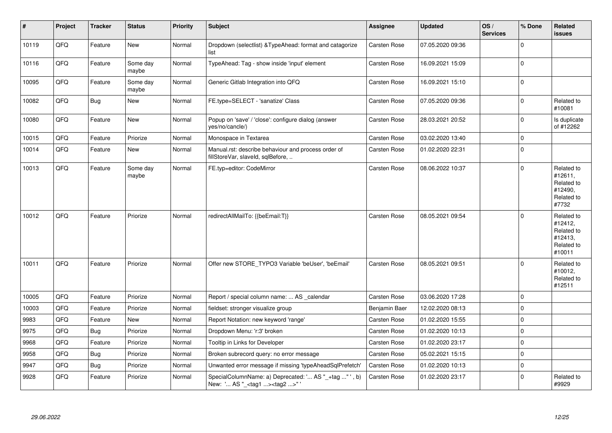| #     | Project | <b>Tracker</b> | <b>Status</b>     | Priority | <b>Subject</b>                                                                                     | <b>Assignee</b>     | <b>Updated</b>   | OS/<br><b>Services</b> | % Done      | Related<br><b>issues</b>                                               |
|-------|---------|----------------|-------------------|----------|----------------------------------------------------------------------------------------------------|---------------------|------------------|------------------------|-------------|------------------------------------------------------------------------|
| 10119 | QFQ     | Feature        | New               | Normal   | Dropdown (selectlist) & TypeAhead: format and catagorize<br>list                                   | Carsten Rose        | 07.05.2020 09:36 |                        | $\mathbf 0$ |                                                                        |
| 10116 | QFQ     | Feature        | Some day<br>maybe | Normal   | TypeAhead: Tag - show inside 'input' element                                                       | Carsten Rose        | 16.09.2021 15:09 |                        | $\Omega$    |                                                                        |
| 10095 | QFO     | Feature        | Some day<br>maybe | Normal   | Generic Gitlab Integration into QFQ                                                                | Carsten Rose        | 16.09.2021 15:10 |                        | $\pmb{0}$   |                                                                        |
| 10082 | QFQ     | Bug            | New               | Normal   | FE.type=SELECT - 'sanatize' Class                                                                  | Carsten Rose        | 07.05.2020 09:36 |                        | $\mathbf 0$ | Related to<br>#10081                                                   |
| 10080 | QFQ     | Feature        | New               | Normal   | Popup on 'save' / 'close': configure dialog (answer<br>yes/no/cancle/)                             | <b>Carsten Rose</b> | 28.03.2021 20:52 |                        | $\mathbf 0$ | Is duplicate<br>of #12262                                              |
| 10015 | QFQ     | Feature        | Priorize          | Normal   | Monospace in Textarea                                                                              | <b>Carsten Rose</b> | 03.02.2020 13:40 |                        | $\mathbf 0$ |                                                                        |
| 10014 | QFQ     | Feature        | New               | Normal   | Manual.rst: describe behaviour and process order of<br>fillStoreVar, slaveId, sqlBefore,           | <b>Carsten Rose</b> | 01.02.2020 22:31 |                        | $\Omega$    |                                                                        |
| 10013 | QFQ     | Feature        | Some day<br>maybe | Normal   | FE.typ=editor: CodeMirror                                                                          | <b>Carsten Rose</b> | 08.06.2022 10:37 |                        | $\Omega$    | Related to<br>#12611,<br>Related to<br>#12490.<br>Related to<br>#7732  |
| 10012 | QFQ     | Feature        | Priorize          | Normal   | redirectAllMailTo: {{beEmail:T}}                                                                   | <b>Carsten Rose</b> | 08.05.2021 09:54 |                        | $\mathbf 0$ | Related to<br>#12412,<br>Related to<br>#12413,<br>Related to<br>#10011 |
| 10011 | QFQ     | Feature        | Priorize          | Normal   | Offer new STORE TYPO3 Variable 'beUser', 'beEmail'                                                 | <b>Carsten Rose</b> | 08.05.2021 09:51 |                        | $\Omega$    | Related to<br>#10012,<br>Related to<br>#12511                          |
| 10005 | QFQ     | Feature        | Priorize          | Normal   | Report / special column name:  AS _calendar                                                        | <b>Carsten Rose</b> | 03.06.2020 17:28 |                        | $\mathbf 0$ |                                                                        |
| 10003 | QFQ     | Feature        | Priorize          | Normal   | fieldset: stronger visualize group                                                                 | Benjamin Baer       | 12.02.2020 08:13 |                        | $\mathbf 0$ |                                                                        |
| 9983  | QFO     | Feature        | New               | Normal   | Report Notation: new keyword 'range'                                                               | Carsten Rose        | 01.02.2020 15:55 |                        | $\mathbf 0$ |                                                                        |
| 9975  | QFQ     | <b>Bug</b>     | Priorize          | Normal   | Dropdown Menu: 'r:3' broken                                                                        | Carsten Rose        | 01.02.2020 10:13 |                        | $\mathbf 0$ |                                                                        |
| 9968  | QFQ     | Feature        | Priorize          | Normal   | Tooltip in Links for Developer                                                                     | Carsten Rose        | 01.02.2020 23:17 |                        | $\mathbf 0$ |                                                                        |
| 9958  | QFQ     | <b>Bug</b>     | Priorize          | Normal   | Broken subrecord query: no error message                                                           | Carsten Rose        | 05.02.2021 15:15 |                        | $\mathbf 0$ |                                                                        |
| 9947  | QFQ     | <b>Bug</b>     | Priorize          | Normal   | Unwanted error message if missing 'typeAheadSqlPrefetch'                                           | <b>Carsten Rose</b> | 01.02.2020 10:13 |                        | $\mathbf 0$ |                                                                        |
| 9928  | QFQ     | Feature        | Priorize          | Normal   | SpecialColumnName: a) Deprecated: ' AS "_+tag " ', b)<br>New: ' AS "_ <tag1><tag2>"'</tag2></tag1> | <b>Carsten Rose</b> | 01.02.2020 23:17 |                        | $\mathbf 0$ | Related to<br>#9929                                                    |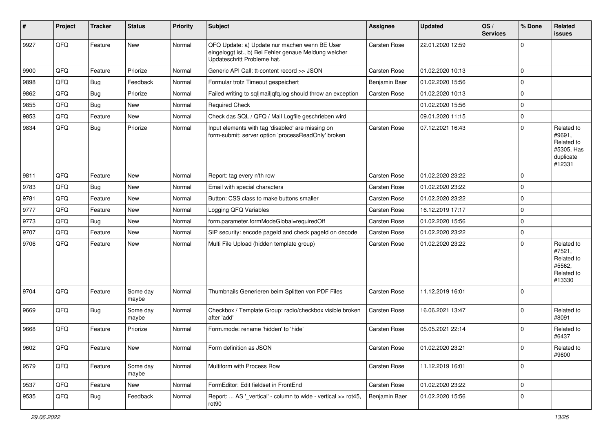| #    | Project | <b>Tracker</b> | <b>Status</b>     | <b>Priority</b> | Subject                                                                                                                               | <b>Assignee</b>     | <b>Updated</b>   | OS/<br><b>Services</b> | % Done      | <b>Related</b><br>issues                                                |
|------|---------|----------------|-------------------|-----------------|---------------------------------------------------------------------------------------------------------------------------------------|---------------------|------------------|------------------------|-------------|-------------------------------------------------------------------------|
| 9927 | QFQ     | Feature        | <b>New</b>        | Normal          | QFQ Update: a) Update nur machen wenn BE User<br>eingeloggt ist., b) Bei Fehler genaue Meldung welcher<br>Updateschritt Probleme hat. | Carsten Rose        | 22.01.2020 12:59 |                        | $\Omega$    |                                                                         |
| 9900 | QFQ     | Feature        | Priorize          | Normal          | Generic API Call: tt-content record >> JSON                                                                                           | Carsten Rose        | 01.02.2020 10:13 |                        | $\Omega$    |                                                                         |
| 9898 | QFQ     | <b>Bug</b>     | Feedback          | Normal          | Formular trotz Timeout gespeichert                                                                                                    | Benjamin Baer       | 01.02.2020 15:56 |                        | $\Omega$    |                                                                         |
| 9862 | QFQ     | <b>Bug</b>     | Priorize          | Normal          | Failed writing to sql mail qfq.log should throw an exception                                                                          | Carsten Rose        | 01.02.2020 10:13 |                        | $\Omega$    |                                                                         |
| 9855 | QFQ     | <b>Bug</b>     | <b>New</b>        | Normal          | <b>Required Check</b>                                                                                                                 |                     | 01.02.2020 15:56 |                        | $\Omega$    |                                                                         |
| 9853 | QFQ     | Feature        | <b>New</b>        | Normal          | Check das SQL / QFQ / Mail Logfile geschrieben wird                                                                                   |                     | 09.01.2020 11:15 |                        | $\Omega$    |                                                                         |
| 9834 | QFQ     | <b>Bug</b>     | Priorize          | Normal          | Input elements with tag 'disabled' are missing on<br>form-submit: server option 'processReadOnly' broken                              | Carsten Rose        | 07.12.2021 16:43 |                        | $\Omega$    | Related to<br>#9691,<br>Related to<br>#5305, Has<br>duplicate<br>#12331 |
| 9811 | QFQ     | Feature        | <b>New</b>        | Normal          | Report: tag every n'th row                                                                                                            | Carsten Rose        | 01.02.2020 23:22 |                        | $\Omega$    |                                                                         |
| 9783 | QFQ     | <b>Bug</b>     | <b>New</b>        | Normal          | Email with special characters                                                                                                         | Carsten Rose        | 01.02.2020 23:22 |                        | $\Omega$    |                                                                         |
| 9781 | QFQ     | Feature        | <b>New</b>        | Normal          | Button: CSS class to make buttons smaller                                                                                             | Carsten Rose        | 01.02.2020 23:22 |                        | $\Omega$    |                                                                         |
| 9777 | QFQ     | Feature        | <b>New</b>        | Normal          | Logging QFQ Variables                                                                                                                 | Carsten Rose        | 16.12.2019 17:17 |                        | $\Omega$    |                                                                         |
| 9773 | QFQ     | <b>Bug</b>     | <b>New</b>        | Normal          | form.parameter.formModeGlobal=requiredOff                                                                                             | Carsten Rose        | 01.02.2020 15:56 |                        | $\Omega$    |                                                                         |
| 9707 | QFQ     | Feature        | <b>New</b>        | Normal          | SIP security: encode pageld and check pageld on decode                                                                                | Carsten Rose        | 01.02.2020 23:22 |                        | $\Omega$    |                                                                         |
| 9706 | QFQ     | Feature        | <b>New</b>        | Normal          | Multi File Upload (hidden template group)                                                                                             | Carsten Rose        | 01.02.2020 23:22 |                        | $\Omega$    | Related to<br>#7521,<br>Related to<br>#5562,<br>Related to<br>#13330    |
| 9704 | QFQ     | Feature        | Some day<br>maybe | Normal          | Thumbnails Generieren beim Splitten von PDF Files                                                                                     | Carsten Rose        | 11.12.2019 16:01 |                        | $\Omega$    |                                                                         |
| 9669 | QFQ     | <b>Bug</b>     | Some day<br>maybe | Normal          | Checkbox / Template Group: radio/checkbox visible broken<br>after 'add'                                                               | Carsten Rose        | 16.06.2021 13:47 |                        | $\Omega$    | Related to<br>#8091                                                     |
| 9668 | QFQ     | Feature        | Priorize          | Normal          | Form.mode: rename 'hidden' to 'hide'                                                                                                  | <b>Carsten Rose</b> | 05.05.2021 22:14 |                        | $\Omega$    | Related to<br>#6437                                                     |
| 9602 | QFQ     | Feature        | I New             | Normal          | Form definition as JSON                                                                                                               | Carsten Rose        | 01.02.2020 23:21 |                        | 0           | <b>Related to</b><br>#9600                                              |
| 9579 | QFQ     | Feature        | Some day<br>maybe | Normal          | Multiform with Process Row                                                                                                            | Carsten Rose        | 11.12.2019 16:01 |                        | $\mathbf 0$ |                                                                         |
| 9537 | QFQ     | Feature        | New               | Normal          | FormEditor: Edit fieldset in FrontEnd                                                                                                 | Carsten Rose        | 01.02.2020 23:22 |                        | 0           |                                                                         |
| 9535 | QFQ     | <b>Bug</b>     | Feedback          | Normal          | Report:  AS '_vertical' - column to wide - vertical >> rot45,<br>rot90                                                                | Benjamin Baer       | 01.02.2020 15:56 |                        | $\mathbf 0$ |                                                                         |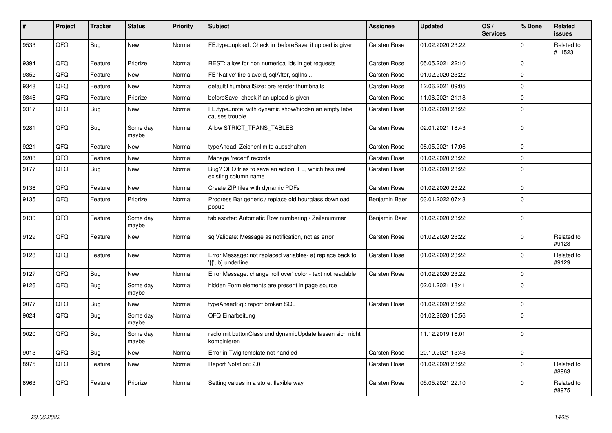| #    | Project | <b>Tracker</b> | <b>Status</b>     | <b>Priority</b> | <b>Subject</b>                                                                  | Assignee            | <b>Updated</b>   | OS/<br><b>Services</b> | % Done      | Related<br><b>issues</b> |
|------|---------|----------------|-------------------|-----------------|---------------------------------------------------------------------------------|---------------------|------------------|------------------------|-------------|--------------------------|
| 9533 | QFQ     | Bug            | <b>New</b>        | Normal          | FE.type=upload: Check in 'beforeSave' if upload is given                        | <b>Carsten Rose</b> | 01.02.2020 23:22 |                        | $\Omega$    | Related to<br>#11523     |
| 9394 | QFQ     | Feature        | Priorize          | Normal          | REST: allow for non numerical ids in get requests                               | <b>Carsten Rose</b> | 05.05.2021 22:10 |                        | $\mathbf 0$ |                          |
| 9352 | QFQ     | Feature        | <b>New</b>        | Normal          | FE 'Native' fire slaveld, sqlAfter, sqllns                                      | Carsten Rose        | 01.02.2020 23:22 |                        | $\mathbf 0$ |                          |
| 9348 | QFQ     | Feature        | New               | Normal          | defaultThumbnailSize: pre render thumbnails                                     | <b>Carsten Rose</b> | 12.06.2021 09:05 |                        | $\mathbf 0$ |                          |
| 9346 | QFQ     | Feature        | Priorize          | Normal          | beforeSave: check if an upload is given                                         | Carsten Rose        | 11.06.2021 21:18 |                        | $\mathbf 0$ |                          |
| 9317 | QFQ     | <b>Bug</b>     | <b>New</b>        | Normal          | FE.type=note: with dynamic show/hidden an empty label<br>causes trouble         | <b>Carsten Rose</b> | 01.02.2020 23:22 |                        | $\mathbf 0$ |                          |
| 9281 | QFQ     | <b>Bug</b>     | Some day<br>maybe | Normal          | Allow STRICT TRANS TABLES                                                       | <b>Carsten Rose</b> | 02.01.2021 18:43 |                        | $\mathbf 0$ |                          |
| 9221 | QFQ     | Feature        | <b>New</b>        | Normal          | typeAhead: Zeichenlimite ausschalten                                            | Carsten Rose        | 08.05.2021 17:06 |                        | $\Omega$    |                          |
| 9208 | QFQ     | Feature        | <b>New</b>        | Normal          | Manage 'recent' records                                                         | <b>Carsten Rose</b> | 01.02.2020 23:22 |                        | $\Omega$    |                          |
| 9177 | QFQ     | <b>Bug</b>     | New               | Normal          | Bug? QFQ tries to save an action FE, which has real<br>existing column name     | Carsten Rose        | 01.02.2020 23:22 |                        | $\mathbf 0$ |                          |
| 9136 | QFQ     | Feature        | <b>New</b>        | Normal          | Create ZIP files with dynamic PDFs                                              | Carsten Rose        | 01.02.2020 23:22 |                        | $\mathbf 0$ |                          |
| 9135 | QFQ     | Feature        | Priorize          | Normal          | Progress Bar generic / replace old hourglass download<br>popup                  | Benjamin Baer       | 03.01.2022 07:43 |                        | $\mathbf 0$ |                          |
| 9130 | QFQ     | Feature        | Some day<br>maybe | Normal          | tablesorter: Automatic Row numbering / Zeilenummer                              | Benjamin Baer       | 01.02.2020 23:22 |                        | $\mathbf 0$ |                          |
| 9129 | QFQ     | Feature        | <b>New</b>        | Normal          | sqlValidate: Message as notification, not as error                              | Carsten Rose        | 01.02.2020 23:22 |                        | $\Omega$    | Related to<br>#9128      |
| 9128 | QFQ     | Feature        | <b>New</b>        | Normal          | Error Message: not replaced variables- a) replace back to<br>'{{', b) underline | <b>Carsten Rose</b> | 01.02.2020 23:22 |                        | $\mathbf 0$ | Related to<br>#9129      |
| 9127 | QFQ     | <b>Bug</b>     | <b>New</b>        | Normal          | Error Message: change 'roll over' color - text not readable                     | Carsten Rose        | 01.02.2020 23:22 |                        | $\mathbf 0$ |                          |
| 9126 | QFQ     | <b>Bug</b>     | Some day<br>maybe | Normal          | hidden Form elements are present in page source                                 |                     | 02.01.2021 18:41 |                        | $\mathbf 0$ |                          |
| 9077 | QFQ     | <b>Bug</b>     | <b>New</b>        | Normal          | typeAheadSql: report broken SQL                                                 | Carsten Rose        | 01.02.2020 23:22 |                        | $\mathbf 0$ |                          |
| 9024 | QFQ     | <b>Bug</b>     | Some day<br>maybe | Normal          | QFQ Einarbeitung                                                                |                     | 01.02.2020 15:56 |                        | $\Omega$    |                          |
| 9020 | QFQ     | <b>Bug</b>     | Some day<br>maybe | Normal          | radio mit buttonClass und dynamicUpdate lassen sich nicht<br>kombinieren        |                     | 11.12.2019 16:01 |                        | $\mathbf 0$ |                          |
| 9013 | QFQ     | <b>Bug</b>     | New               | Normal          | Error in Twig template not handled                                              | Carsten Rose        | 20.10.2021 13:43 |                        | $\mathbf 0$ |                          |
| 8975 | QFQ     | Feature        | <b>New</b>        | Normal          | Report Notation: 2.0                                                            | <b>Carsten Rose</b> | 01.02.2020 23:22 |                        | $\mathbf 0$ | Related to<br>#8963      |
| 8963 | QFQ     | Feature        | Priorize          | Normal          | Setting values in a store: flexible way                                         | Carsten Rose        | 05.05.2021 22:10 |                        | $\Omega$    | Related to<br>#8975      |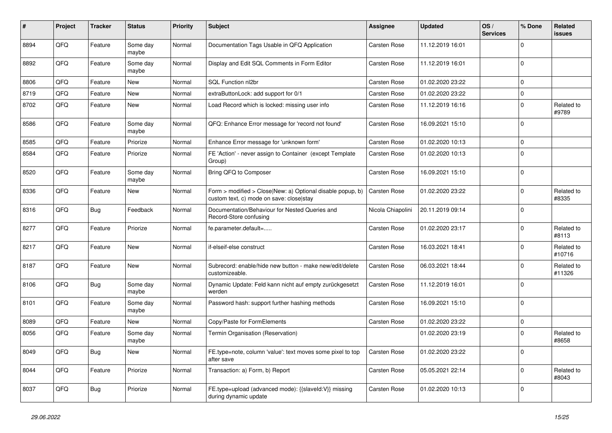| #    | Project | <b>Tracker</b> | <b>Status</b>     | <b>Priority</b> | Subject                                                                                                | <b>Assignee</b>   | <b>Updated</b>   | OS/<br><b>Services</b> | % Done      | <b>Related</b><br>issues |
|------|---------|----------------|-------------------|-----------------|--------------------------------------------------------------------------------------------------------|-------------------|------------------|------------------------|-------------|--------------------------|
| 8894 | QFQ     | Feature        | Some day<br>maybe | Normal          | Documentation Tags Usable in QFQ Application                                                           | Carsten Rose      | 11.12.2019 16:01 |                        | $\Omega$    |                          |
| 8892 | QFQ     | Feature        | Some day<br>maybe | Normal          | Display and Edit SQL Comments in Form Editor                                                           | Carsten Rose      | 11.12.2019 16:01 |                        | $\Omega$    |                          |
| 8806 | QFQ     | Feature        | New               | Normal          | SQL Function nl2br                                                                                     | Carsten Rose      | 01.02.2020 23:22 |                        | $\Omega$    |                          |
| 8719 | QFQ     | Feature        | New               | Normal          | extraButtonLock: add support for 0/1                                                                   | Carsten Rose      | 01.02.2020 23:22 |                        | $\Omega$    |                          |
| 8702 | QFQ     | Feature        | New               | Normal          | Load Record which is locked: missing user info                                                         | Carsten Rose      | 11.12.2019 16:16 |                        | $\mathbf 0$ | Related to<br>#9789      |
| 8586 | QFQ     | Feature        | Some day<br>maybe | Normal          | QFQ: Enhance Error message for 'record not found'                                                      | Carsten Rose      | 16.09.2021 15:10 |                        | $\Omega$    |                          |
| 8585 | QFQ     | Feature        | Priorize          | Normal          | Enhance Error message for 'unknown form'                                                               | Carsten Rose      | 01.02.2020 10:13 |                        | $\Omega$    |                          |
| 8584 | QFQ     | Feature        | Priorize          | Normal          | FE 'Action' - never assign to Container (except Template<br>Group)                                     | Carsten Rose      | 01.02.2020 10:13 |                        | $\Omega$    |                          |
| 8520 | QFQ     | Feature        | Some day<br>maybe | Normal          | Bring QFQ to Composer                                                                                  | Carsten Rose      | 16.09.2021 15:10 |                        | $\Omega$    |                          |
| 8336 | QFQ     | Feature        | New               | Normal          | Form > modified > Close New: a) Optional disable popup, b)<br>custom text, c) mode on save: close stay | Carsten Rose      | 01.02.2020 23:22 |                        | $\Omega$    | Related to<br>#8335      |
| 8316 | QFQ     | Bug            | Feedback          | Normal          | Documentation/Behaviour for Nested Queries and<br>Record-Store confusing                               | Nicola Chiapolini | 20.11.2019 09:14 |                        | $\Omega$    |                          |
| 8277 | QFQ     | Feature        | Priorize          | Normal          | fe.parameter.default=                                                                                  | Carsten Rose      | 01.02.2020 23:17 |                        | $\Omega$    | Related to<br>#8113      |
| 8217 | QFQ     | Feature        | New               | Normal          | if-elseif-else construct                                                                               | Carsten Rose      | 16.03.2021 18:41 |                        | $\Omega$    | Related to<br>#10716     |
| 8187 | QFQ     | Feature        | New               | Normal          | Subrecord: enable/hide new button - make new/edit/delete<br>customizeable.                             | Carsten Rose      | 06.03.2021 18:44 |                        | $\Omega$    | Related to<br>#11326     |
| 8106 | QFQ     | Bug            | Some day<br>maybe | Normal          | Dynamic Update: Feld kann nicht auf empty zurückgesetzt<br>werden                                      | Carsten Rose      | 11.12.2019 16:01 |                        | $\Omega$    |                          |
| 8101 | QFQ     | Feature        | Some day<br>maybe | Normal          | Password hash: support further hashing methods                                                         | Carsten Rose      | 16.09.2021 15:10 |                        | $\Omega$    |                          |
| 8089 | QFQ     | Feature        | New               | Normal          | Copy/Paste for FormElements                                                                            | Carsten Rose      | 01.02.2020 23:22 |                        | $\mathbf 0$ |                          |
| 8056 | QFQ     | Feature        | Some day<br>maybe | Normal          | Termin Organisation (Reservation)                                                                      |                   | 01.02.2020 23:19 |                        | $\Omega$    | Related to<br>#8658      |
| 8049 | QFQ     | <b>Bug</b>     | New               | Normal          | FE.type=note, column 'value': text moves some pixel to top<br>after save                               | Carsten Rose      | 01.02.2020 23:22 |                        | 0           |                          |
| 8044 | QFQ     | Feature        | Priorize          | Normal          | Transaction: a) Form, b) Report                                                                        | Carsten Rose      | 05.05.2021 22:14 |                        | 0           | Related to<br>#8043      |
| 8037 | QFQ     | Bug            | Priorize          | Normal          | FE.type=upload (advanced mode): {{slaveld:V}} missing<br>during dynamic update                         | Carsten Rose      | 01.02.2020 10:13 |                        | $\pmb{0}$   |                          |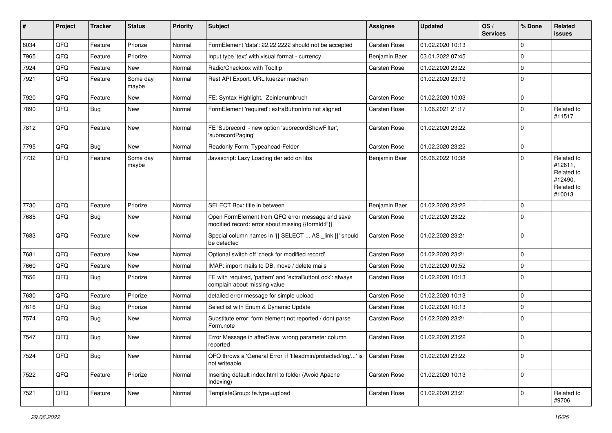| ∦    | Project | <b>Tracker</b> | <b>Status</b>     | <b>Priority</b> | <b>Subject</b>                                                                                        | <b>Assignee</b>     | <b>Updated</b>   | OS/<br><b>Services</b> | % Done      | Related<br><b>issues</b>                                               |
|------|---------|----------------|-------------------|-----------------|-------------------------------------------------------------------------------------------------------|---------------------|------------------|------------------------|-------------|------------------------------------------------------------------------|
| 8034 | QFQ     | Feature        | Priorize          | Normal          | FormElement 'data': 22.22.2222 should not be accepted                                                 | Carsten Rose        | 01.02.2020 10:13 |                        | $\mathbf 0$ |                                                                        |
| 7965 | QFQ     | Feature        | Priorize          | Normal          | Input type 'text' with visual format - currency                                                       | Benjamin Baer       | 03.01.2022 07:45 |                        | $\mathbf 0$ |                                                                        |
| 7924 | QFQ     | Feature        | New               | Normal          | Radio/Checkbox with Tooltip                                                                           | Carsten Rose        | 01.02.2020 23:22 |                        | $\mathbf 0$ |                                                                        |
| 7921 | QFQ     | Feature        | Some day<br>maybe | Normal          | Rest API Export: URL kuerzer machen                                                                   |                     | 01.02.2020 23:19 |                        | $\Omega$    |                                                                        |
| 7920 | QFQ     | Feature        | New               | Normal          | FE: Syntax Highlight, Zeinlenumbruch                                                                  | Carsten Rose        | 01.02.2020 10:03 |                        | $\mathbf 0$ |                                                                        |
| 7890 | QFQ     | <b>Bug</b>     | New               | Normal          | FormElement 'required': extraButtonInfo not aligned                                                   | Carsten Rose        | 11.06.2021 21:17 |                        | $\Omega$    | Related to<br>#11517                                                   |
| 7812 | QFQ     | Feature        | New               | Normal          | FE 'Subrecord' - new option 'subrecordShowFilter',<br>'subrecordPaging'                               | Carsten Rose        | 01.02.2020 23:22 |                        | $\mathbf 0$ |                                                                        |
| 7795 | QFQ     | Bug            | <b>New</b>        | Normal          | Readonly Form: Typeahead-Felder                                                                       | Carsten Rose        | 01.02.2020 23:22 |                        | $\mathbf 0$ |                                                                        |
| 7732 | QFQ     | Feature        | Some day<br>maybe | Normal          | Javascript: Lazy Loading der add on libs                                                              | Benjamin Baer       | 08.06.2022 10:38 |                        | $\Omega$    | Related to<br>#12611,<br>Related to<br>#12490,<br>Related to<br>#10013 |
| 7730 | QFQ     | Feature        | Priorize          | Normal          | SELECT Box: title in between                                                                          | Benjamin Baer       | 01.02.2020 23:22 |                        | $\mathbf 0$ |                                                                        |
| 7685 | QFQ     | <b>Bug</b>     | New               | Normal          | Open FormElement from QFQ error message and save<br>modified record: error about missing {{formId:F}} | Carsten Rose        | 01.02.2020 23:22 |                        | $\Omega$    |                                                                        |
| 7683 | QFQ     | Feature        | <b>New</b>        | Normal          | Special column names in '{{ SELECT  AS _link }}' should<br>be detected                                | Carsten Rose        | 01.02.2020 23:21 |                        | $\mathbf 0$ |                                                                        |
| 7681 | QFQ     | Feature        | <b>New</b>        | Normal          | Optional switch off 'check for modified record'                                                       | Carsten Rose        | 01.02.2020 23:21 |                        | $\mathbf 0$ |                                                                        |
| 7660 | QFQ     | Feature        | New               | Normal          | IMAP: import mails to DB, move / delete mails                                                         | Carsten Rose        | 01.02.2020 09:52 |                        | $\mathbf 0$ |                                                                        |
| 7656 | QFQ     | Bug            | Priorize          | Normal          | FE with required, 'pattern' and 'extraButtonLock': always<br>complain about missing value             | Carsten Rose        | 01.02.2020 10:13 |                        | $\Omega$    |                                                                        |
| 7630 | QFQ     | Feature        | Priorize          | Normal          | detailed error message for simple upload                                                              | Carsten Rose        | 01.02.2020 10:13 |                        | $\mathbf 0$ |                                                                        |
| 7616 | QFQ     | <b>Bug</b>     | Priorize          | Normal          | Selectlist with Enum & Dynamic Update                                                                 | Carsten Rose        | 01.02.2020 10:13 |                        | $\mathbf 0$ |                                                                        |
| 7574 | QFQ     | <b>Bug</b>     | New               | Normal          | Substitute error: form element not reported / dont parse<br>Form.note                                 | Carsten Rose        | 01.02.2020 23:21 |                        | $\mathbf 0$ |                                                                        |
| 7547 | QFQ     | <b>Bug</b>     | New               | Normal          | Error Message in afterSave: wrong parameter column<br>reported                                        | Carsten Rose        | 01.02.2020 23:22 |                        | $\mathbf 0$ |                                                                        |
| 7524 | QFQ     | <b>Bug</b>     | New               | Normal          | QFQ throws a 'General Error' if 'fileadmin/protected/log/' is<br>not writeable                        | <b>Carsten Rose</b> | 01.02.2020 23:22 |                        | $\mathbf 0$ |                                                                        |
| 7522 | QFQ     | Feature        | Priorize          | Normal          | Inserting default index.html to folder (Avoid Apache<br>Indexing)                                     | Carsten Rose        | 01.02.2020 10:13 |                        | $\mathbf 0$ |                                                                        |
| 7521 | QFQ     | Feature        | New               | Normal          | TemplateGroup: fe.type=upload                                                                         | Carsten Rose        | 01.02.2020 23:21 |                        | $\mathbf 0$ | Related to<br>#9706                                                    |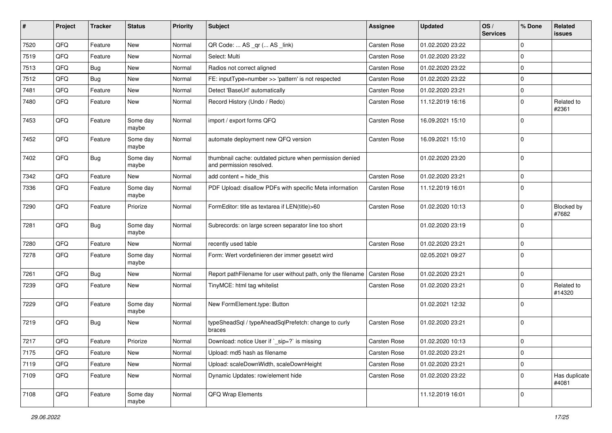| ∦    | Project | <b>Tracker</b> | <b>Status</b>     | <b>Priority</b> | Subject                                                                              | <b>Assignee</b> | <b>Updated</b>   | OS/<br><b>Services</b> | % Done      | <b>Related</b><br>issues   |
|------|---------|----------------|-------------------|-----------------|--------------------------------------------------------------------------------------|-----------------|------------------|------------------------|-------------|----------------------------|
| 7520 | QFQ     | Feature        | <b>New</b>        | Normal          | QR Code:  AS _qr ( AS _link)                                                         | Carsten Rose    | 01.02.2020 23:22 |                        | $\Omega$    |                            |
| 7519 | QFQ     | Feature        | <b>New</b>        | Normal          | Select: Multi                                                                        | Carsten Rose    | 01.02.2020 23:22 |                        | $\Omega$    |                            |
| 7513 | QFQ     | Bug            | <b>New</b>        | Normal          | Radios not correct aligned                                                           | Carsten Rose    | 01.02.2020 23:22 |                        | $\Omega$    |                            |
| 7512 | QFQ     | Bug            | New               | Normal          | FE: inputType=number >> 'pattern' is not respected                                   | Carsten Rose    | 01.02.2020 23:22 |                        | $\Omega$    |                            |
| 7481 | QFQ     | Feature        | New               | Normal          | Detect 'BaseUrl' automatically                                                       | Carsten Rose    | 01.02.2020 23:21 |                        | $\Omega$    |                            |
| 7480 | QFQ     | Feature        | New               | Normal          | Record History (Undo / Redo)                                                         | Carsten Rose    | 11.12.2019 16:16 |                        | $\Omega$    | Related to<br>#2361        |
| 7453 | QFQ     | Feature        | Some day<br>maybe | Normal          | import / export forms QFQ                                                            | Carsten Rose    | 16.09.2021 15:10 |                        | $\Omega$    |                            |
| 7452 | QFQ     | Feature        | Some day<br>maybe | Normal          | automate deployment new QFQ version                                                  | Carsten Rose    | 16.09.2021 15:10 |                        | $\Omega$    |                            |
| 7402 | QFQ     | Bug            | Some day<br>maybe | Normal          | thumbnail cache: outdated picture when permission denied<br>and permission resolved. |                 | 01.02.2020 23:20 |                        | $\mathbf 0$ |                            |
| 7342 | QFQ     | Feature        | New               | Normal          | add content = hide_this                                                              | Carsten Rose    | 01.02.2020 23:21 |                        | $\mathbf 0$ |                            |
| 7336 | QFQ     | Feature        | Some day<br>maybe | Normal          | PDF Upload: disallow PDFs with specific Meta information                             | Carsten Rose    | 11.12.2019 16:01 |                        | $\Omega$    |                            |
| 7290 | QFQ     | Feature        | Priorize          | Normal          | FormEditor: title as textarea if LEN(title)>60                                       | Carsten Rose    | 01.02.2020 10:13 |                        | $\Omega$    | <b>Blocked by</b><br>#7682 |
| 7281 | QFQ     | <b>Bug</b>     | Some day<br>maybe | Normal          | Subrecords: on large screen separator line too short                                 |                 | 01.02.2020 23:19 |                        | $\Omega$    |                            |
| 7280 | QFQ     | Feature        | New               | Normal          | recently used table                                                                  | Carsten Rose    | 01.02.2020 23:21 |                        | $\Omega$    |                            |
| 7278 | QFQ     | Feature        | Some day<br>maybe | Normal          | Form: Wert vordefinieren der immer gesetzt wird                                      |                 | 02.05.2021 09:27 |                        | $\Omega$    |                            |
| 7261 | QFQ     | <b>Bug</b>     | <b>New</b>        | Normal          | Report pathFilename for user without path, only the filename                         | Carsten Rose    | 01.02.2020 23:21 |                        | $\mathbf 0$ |                            |
| 7239 | QFQ     | Feature        | New               | Normal          | TinyMCE: html tag whitelist                                                          | Carsten Rose    | 01.02.2020 23:21 |                        | $\Omega$    | Related to<br>#14320       |
| 7229 | QFQ     | Feature        | Some day<br>maybe | Normal          | New FormElement.type: Button                                                         |                 | 01.02.2021 12:32 |                        | $\Omega$    |                            |
| 7219 | QFQ     | Bug            | <b>New</b>        | Normal          | typeSheadSql / typeAheadSqlPrefetch: change to curly<br>braces                       | Carsten Rose    | 01.02.2020 23:21 |                        | 0           |                            |
| 7217 | QFQ     | Feature        | Priorize          | Normal          | Download: notice User if `_sip=?` is missing                                         | Carsten Rose    | 01.02.2020 10:13 |                        | $\Omega$    |                            |
| 7175 | QFQ     | Feature        | New               | Normal          | Upload: md5 hash as filename                                                         | Carsten Rose    | 01.02.2020 23:21 |                        | 0           |                            |
| 7119 | QFQ     | Feature        | New               | Normal          | Upload: scaleDownWidth, scaleDownHeight                                              | Carsten Rose    | 01.02.2020 23:21 |                        | 0           |                            |
| 7109 | QFQ     | Feature        | New               | Normal          | Dynamic Updates: row/element hide                                                    | Carsten Rose    | 01.02.2020 23:22 |                        | 0           | Has duplicate<br>#4081     |
| 7108 | QFQ     | Feature        | Some day<br>maybe | Normal          | QFQ Wrap Elements                                                                    |                 | 11.12.2019 16:01 |                        | $\mathbf 0$ |                            |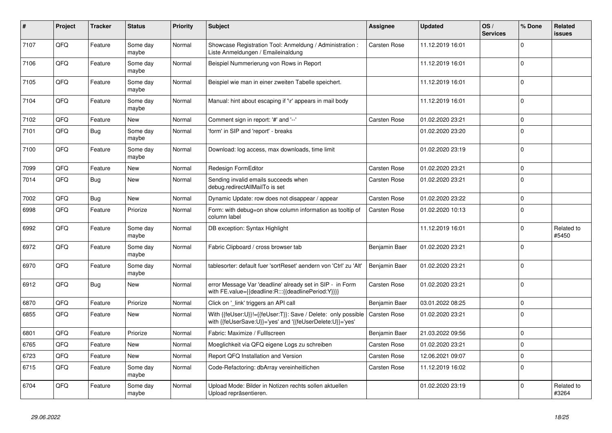| #    | Project | <b>Tracker</b> | <b>Status</b>     | <b>Priority</b> | <b>Subject</b>                                                                                                             | Assignee            | <b>Updated</b>   | OS/<br><b>Services</b> | % Done      | <b>Related</b><br><b>issues</b> |
|------|---------|----------------|-------------------|-----------------|----------------------------------------------------------------------------------------------------------------------------|---------------------|------------------|------------------------|-------------|---------------------------------|
| 7107 | QFQ     | Feature        | Some day<br>maybe | Normal          | Showcase Registration Tool: Anmeldung / Administration :<br>Liste Anmeldungen / Emaileinaldung                             | Carsten Rose        | 11.12.2019 16:01 |                        | $\Omega$    |                                 |
| 7106 | QFQ     | Feature        | Some day<br>maybe | Normal          | Beispiel Nummerierung von Rows in Report                                                                                   |                     | 11.12.2019 16:01 |                        | $\mathbf 0$ |                                 |
| 7105 | QFQ     | Feature        | Some day<br>maybe | Normal          | Beispiel wie man in einer zweiten Tabelle speichert.                                                                       |                     | 11.12.2019 16:01 |                        | $\mathbf 0$ |                                 |
| 7104 | QFQ     | Feature        | Some day<br>maybe | Normal          | Manual: hint about escaping if '\r' appears in mail body                                                                   |                     | 11.12.2019 16:01 |                        | $\mathbf 0$ |                                 |
| 7102 | QFQ     | Feature        | <b>New</b>        | Normal          | Comment sign in report: '#' and '--'                                                                                       | Carsten Rose        | 01.02.2020 23:21 |                        | $\mathbf 0$ |                                 |
| 7101 | QFQ     | <b>Bug</b>     | Some day<br>maybe | Normal          | 'form' in SIP and 'report' - breaks                                                                                        |                     | 01.02.2020 23:20 |                        | $\mathbf 0$ |                                 |
| 7100 | QFQ     | Feature        | Some day<br>maybe | Normal          | Download: log access, max downloads, time limit                                                                            |                     | 01.02.2020 23:19 |                        | $\mathbf 0$ |                                 |
| 7099 | QFQ     | Feature        | New               | Normal          | Redesign FormEditor                                                                                                        | <b>Carsten Rose</b> | 01.02.2020 23:21 |                        | $\mathbf 0$ |                                 |
| 7014 | QFQ     | <b>Bug</b>     | <b>New</b>        | Normal          | Sending invalid emails succeeds when<br>debug.redirectAllMailTo is set                                                     | Carsten Rose        | 01.02.2020 23:21 |                        | $\mathbf 0$ |                                 |
| 7002 | QFQ     | <b>Bug</b>     | <b>New</b>        | Normal          | Dynamic Update: row does not disappear / appear                                                                            | <b>Carsten Rose</b> | 01.02.2020 23:22 |                        | $\mathbf 0$ |                                 |
| 6998 | QFQ     | Feature        | Priorize          | Normal          | Form: with debug=on show column information as tooltip of<br>column label                                                  | <b>Carsten Rose</b> | 01.02.2020 10:13 |                        | $\mathbf 0$ |                                 |
| 6992 | QFQ     | Feature        | Some day<br>maybe | Normal          | DB exception: Syntax Highlight                                                                                             |                     | 11.12.2019 16:01 |                        | $\Omega$    | Related to<br>#5450             |
| 6972 | QFQ     | Feature        | Some day<br>maybe | Normal          | Fabric Clipboard / cross browser tab                                                                                       | Benjamin Baer       | 01.02.2020 23:21 |                        | $\mathbf 0$ |                                 |
| 6970 | QFQ     | Feature        | Some day<br>maybe | Normal          | tablesorter: default fuer 'sortReset' aendern von 'Ctrl' zu 'Alt'                                                          | Benjamin Baer       | 01.02.2020 23:21 |                        | $\mathbf 0$ |                                 |
| 6912 | QFQ     | Bug            | New               | Normal          | error Message Var 'deadline' already set in SIP - in Form<br>with FE.value={{deadline:R:::{{deadlinePeriod:Y}}}}           | <b>Carsten Rose</b> | 01.02.2020 23:21 |                        | $\mathbf 0$ |                                 |
| 6870 | QFQ     | Feature        | Priorize          | Normal          | Click on '_link' triggers an API call                                                                                      | Benjamin Baer       | 03.01.2022 08:25 |                        | $\mathbf 0$ |                                 |
| 6855 | QFQ     | Feature        | <b>New</b>        | Normal          | With {{feUser:U}}!={{feUser:T}}: Save / Delete: only possible<br>with {{feUserSave:U}}='yes' and '{{feUserDelete:U}}='yes' | <b>Carsten Rose</b> | 01.02.2020 23:21 |                        | $\mathbf 0$ |                                 |
| 6801 | QFQ     | Feature        | Priorize          | Normal          | Fabric: Maximize / FullIscreen                                                                                             | Benjamin Baer       | 21.03.2022 09:56 |                        | $\mathbf 0$ |                                 |
| 6765 | QFQ     | Feature        | New               | Normal          | Moeglichkeit via QFQ eigene Logs zu schreiben                                                                              | Carsten Rose        | 01.02.2020 23:21 |                        | $\mathbf 0$ |                                 |
| 6723 | QFQ     | Feature        | New               | Normal          | Report QFQ Installation and Version                                                                                        | <b>Carsten Rose</b> | 12.06.2021 09:07 |                        | $\mathbf 0$ |                                 |
| 6715 | QFQ     | Feature        | Some day<br>maybe | Normal          | Code-Refactoring: dbArray vereinheitlichen                                                                                 | <b>Carsten Rose</b> | 11.12.2019 16:02 |                        | $\mathbf 0$ |                                 |
| 6704 | QFQ     | Feature        | Some day<br>maybe | Normal          | Upload Mode: Bilder in Notizen rechts sollen aktuellen<br>Upload repräsentieren.                                           |                     | 01.02.2020 23:19 |                        | $\mathbf 0$ | Related to<br>#3264             |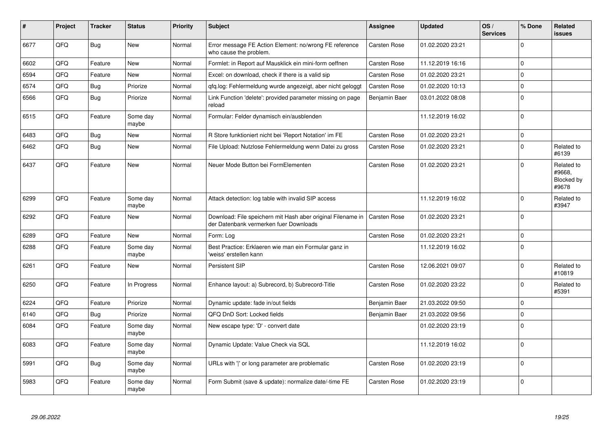| #    | Project | <b>Tracker</b> | <b>Status</b>     | <b>Priority</b> | <b>Subject</b>                                                                                        | <b>Assignee</b>     | <b>Updated</b>   | OS/<br><b>Services</b> | % Done      | Related<br><b>issues</b>                    |
|------|---------|----------------|-------------------|-----------------|-------------------------------------------------------------------------------------------------------|---------------------|------------------|------------------------|-------------|---------------------------------------------|
| 6677 | QFQ     | <b>Bug</b>     | <b>New</b>        | Normal          | Error message FE Action Element: no/wrong FE reference<br>who cause the problem.                      | Carsten Rose        | 01.02.2020 23:21 |                        | $\Omega$    |                                             |
| 6602 | QFQ     | Feature        | <b>New</b>        | Normal          | Formlet: in Report auf Mausklick ein mini-form oeffnen                                                | <b>Carsten Rose</b> | 11.12.2019 16:16 |                        | $\mathbf 0$ |                                             |
| 6594 | QFQ     | Feature        | New               | Normal          | Excel: on download, check if there is a valid sip                                                     | <b>Carsten Rose</b> | 01.02.2020 23:21 |                        | $\mathbf 0$ |                                             |
| 6574 | QFQ     | <b>Bug</b>     | Priorize          | Normal          | qfq.log: Fehlermeldung wurde angezeigt, aber nicht geloggt                                            | <b>Carsten Rose</b> | 01.02.2020 10:13 |                        | $\mathbf 0$ |                                             |
| 6566 | QFQ     | Bug            | Priorize          | Normal          | Link Function 'delete': provided parameter missing on page<br>reload                                  | Benjamin Baer       | 03.01.2022 08:08 |                        | $\pmb{0}$   |                                             |
| 6515 | QFQ     | Feature        | Some day<br>maybe | Normal          | Formular: Felder dynamisch ein/ausblenden                                                             |                     | 11.12.2019 16:02 |                        | $\Omega$    |                                             |
| 6483 | QFQ     | <b>Bug</b>     | <b>New</b>        | Normal          | R Store funktioniert nicht bei 'Report Notation' im FE                                                | <b>Carsten Rose</b> | 01.02.2020 23:21 |                        | $\mathbf 0$ |                                             |
| 6462 | QFQ     | <b>Bug</b>     | New               | Normal          | File Upload: Nutzlose Fehlermeldung wenn Datei zu gross                                               | Carsten Rose        | 01.02.2020 23:21 |                        | $\mathbf 0$ | Related to<br>#6139                         |
| 6437 | QFQ     | Feature        | New               | Normal          | Neuer Mode Button bei FormElementen                                                                   | Carsten Rose        | 01.02.2020 23:21 |                        | $\mathbf 0$ | Related to<br>#9668.<br>Blocked by<br>#9678 |
| 6299 | QFQ     | Feature        | Some day<br>maybe | Normal          | Attack detection: log table with invalid SIP access                                                   |                     | 11.12.2019 16:02 |                        | $\mathbf 0$ | Related to<br>#3947                         |
| 6292 | QFQ     | Feature        | <b>New</b>        | Normal          | Download: File speichern mit Hash aber original Filename in<br>der Datenbank vermerken fuer Downloads | <b>Carsten Rose</b> | 01.02.2020 23:21 |                        | $\mathbf 0$ |                                             |
| 6289 | QFQ     | Feature        | New               | Normal          | Form: Log                                                                                             | <b>Carsten Rose</b> | 01.02.2020 23:21 |                        | $\mathbf 0$ |                                             |
| 6288 | QFQ     | Feature        | Some day<br>maybe | Normal          | Best Practice: Erklaeren wie man ein Formular ganz in<br>'weiss' erstellen kann                       |                     | 11.12.2019 16:02 |                        | $\mathbf 0$ |                                             |
| 6261 | QFQ     | Feature        | <b>New</b>        | Normal          | Persistent SIP                                                                                        | <b>Carsten Rose</b> | 12.06.2021 09:07 |                        | $\Omega$    | Related to<br>#10819                        |
| 6250 | QFQ     | Feature        | In Progress       | Normal          | Enhance layout: a) Subrecord, b) Subrecord-Title                                                      | <b>Carsten Rose</b> | 01.02.2020 23:22 |                        | $\mathbf 0$ | Related to<br>#5391                         |
| 6224 | QFQ     | Feature        | Priorize          | Normal          | Dynamic update: fade in/out fields                                                                    | Benjamin Baer       | 21.03.2022 09:50 |                        | $\mathbf 0$ |                                             |
| 6140 | QFQ     | <b>Bug</b>     | Priorize          | Normal          | QFQ DnD Sort: Locked fields                                                                           | Benjamin Baer       | 21.03.2022 09:56 |                        | $\mathbf 0$ |                                             |
| 6084 | QFQ     | Feature        | Some day<br>maybe | Normal          | New escape type: 'D' - convert date                                                                   |                     | 01.02.2020 23:19 |                        | $\mathbf 0$ |                                             |
| 6083 | QFQ     | Feature        | Some day<br>maybe | Normal          | Dynamic Update: Value Check via SQL                                                                   |                     | 11.12.2019 16:02 |                        | $\mathbf 0$ |                                             |
| 5991 | QFQ     | Bug            | Some day<br>maybe | Normal          | URLs with ' ' or long parameter are problematic                                                       | Carsten Rose        | 01.02.2020 23:19 |                        | $\mathbf 0$ |                                             |
| 5983 | QFQ     | Feature        | Some day<br>maybe | Normal          | Form Submit (save & update): normalize date/-time FE                                                  | <b>Carsten Rose</b> | 01.02.2020 23:19 |                        | $\Omega$    |                                             |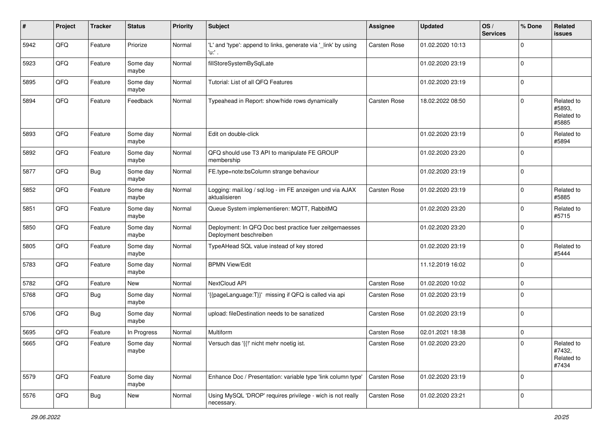| #    | Project | <b>Tracker</b> | <b>Status</b>     | <b>Priority</b> | <b>Subject</b>                                                                    | <b>Assignee</b> | <b>Updated</b>   | OS/<br><b>Services</b> | % Done      | <b>Related</b><br>issues                    |
|------|---------|----------------|-------------------|-----------------|-----------------------------------------------------------------------------------|-----------------|------------------|------------------------|-------------|---------------------------------------------|
| 5942 | QFQ     | Feature        | Priorize          | Normal          | 'L' and 'type': append to links, generate via '_link' by using<br>'u:' .          | Carsten Rose    | 01.02.2020 10:13 |                        | $\Omega$    |                                             |
| 5923 | QFQ     | Feature        | Some day<br>maybe | Normal          | fillStoreSystemBySqlLate                                                          |                 | 01.02.2020 23:19 |                        | $\Omega$    |                                             |
| 5895 | QFQ     | Feature        | Some day<br>maybe | Normal          | Tutorial: List of all QFQ Features                                                |                 | 01.02.2020 23:19 |                        | $\Omega$    |                                             |
| 5894 | QFQ     | Feature        | Feedback          | Normal          | Typeahead in Report: show/hide rows dynamically                                   | Carsten Rose    | 18.02.2022 08:50 |                        | $\Omega$    | Related to<br>#5893,<br>Related to<br>#5885 |
| 5893 | QFQ     | Feature        | Some day<br>maybe | Normal          | Edit on double-click                                                              |                 | 01.02.2020 23:19 |                        | $\Omega$    | Related to<br>#5894                         |
| 5892 | QFQ     | Feature        | Some day<br>maybe | Normal          | QFQ should use T3 API to manipulate FE GROUP<br>membership                        |                 | 01.02.2020 23:20 |                        | $\mathbf 0$ |                                             |
| 5877 | QFQ     | <b>Bug</b>     | Some day<br>maybe | Normal          | FE.type=note:bsColumn strange behaviour                                           |                 | 01.02.2020 23:19 |                        | $\Omega$    |                                             |
| 5852 | QFQ     | Feature        | Some day<br>maybe | Normal          | Logging: mail.log / sql.log - im FE anzeigen und via AJAX<br>aktualisieren        | Carsten Rose    | 01.02.2020 23:19 |                        | $\Omega$    | Related to<br>#5885                         |
| 5851 | QFQ     | Feature        | Some day<br>maybe | Normal          | Queue System implementieren: MQTT, RabbitMQ                                       |                 | 01.02.2020 23:20 |                        | $\Omega$    | Related to<br>#5715                         |
| 5850 | QFQ     | Feature        | Some day<br>maybe | Normal          | Deployment: In QFQ Doc best practice fuer zeitgemaesses<br>Deployment beschreiben |                 | 01.02.2020 23:20 |                        | $\Omega$    |                                             |
| 5805 | QFQ     | Feature        | Some day<br>maybe | Normal          | TypeAHead SQL value instead of key stored                                         |                 | 01.02.2020 23:19 |                        | $\Omega$    | Related to<br>#5444                         |
| 5783 | QFQ     | Feature        | Some day<br>maybe | Normal          | <b>BPMN View/Edit</b>                                                             |                 | 11.12.2019 16:02 |                        | $\Omega$    |                                             |
| 5782 | QFQ     | Feature        | New               | Normal          | NextCloud API                                                                     | Carsten Rose    | 01.02.2020 10:02 |                        | $\mathbf 0$ |                                             |
| 5768 | QFQ     | Bug            | Some day<br>maybe | Normal          | '{{pageLanguage:T}}' missing if QFQ is called via api                             | Carsten Rose    | 01.02.2020 23:19 |                        | $\Omega$    |                                             |
| 5706 | QFQ     | Bug            | Some day<br>maybe | Normal          | upload: fileDestination needs to be sanatized                                     | Carsten Rose    | 01.02.2020 23:19 |                        | $\Omega$    |                                             |
| 5695 | QFQ     | Feature        | In Progress       | Normal          | Multiform                                                                         | Carsten Rose    | 02.01.2021 18:38 |                        | $\mathbf 0$ |                                             |
| 5665 | QFQ     | Feature        | Some day<br>maybe | Normal          | Versuch das '{{!' nicht mehr noetig ist.                                          | Carsten Rose    | 01.02.2020 23:20 |                        | $\Omega$    | Related to<br>#7432,<br>Related to<br>#7434 |
| 5579 | QFQ     | Feature        | Some day<br>maybe | Normal          | Enhance Doc / Presentation: variable type 'link column type'                      | Carsten Rose    | 01.02.2020 23:19 |                        | $\Omega$    |                                             |
| 5576 | QFQ     | <b>Bug</b>     | New               | Normal          | Using MySQL 'DROP' requires privilege - wich is not really<br>necessary.          | Carsten Rose    | 01.02.2020 23:21 |                        | 0           |                                             |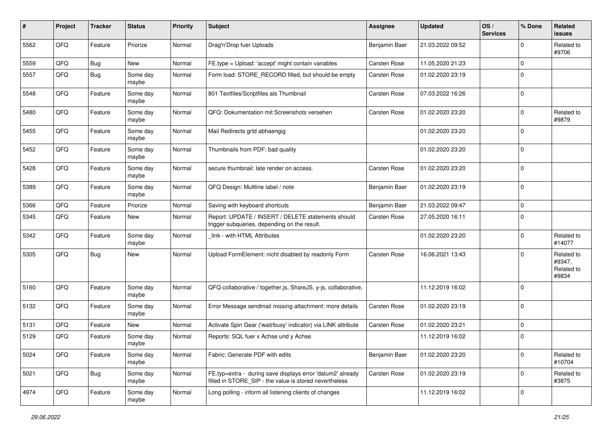| ∦    | Project | <b>Tracker</b> | <b>Status</b>     | <b>Priority</b> | <b>Subject</b>                                                                                                       | <b>Assignee</b> | <b>Updated</b>   | OS/<br><b>Services</b> | % Done      | Related<br>issues                           |
|------|---------|----------------|-------------------|-----------------|----------------------------------------------------------------------------------------------------------------------|-----------------|------------------|------------------------|-------------|---------------------------------------------|
| 5562 | QFQ     | Feature        | Priorize          | Normal          | Drag'n'Drop fuer Uploads                                                                                             | Benjamin Baer   | 21.03.2022 09:52 |                        | $\mathbf 0$ | Related to<br>#9706                         |
| 5559 | QFQ     | <b>Bug</b>     | New               | Normal          | FE.type = Upload: 'accept' might contain variables                                                                   | Carsten Rose    | 11.05.2020 21:23 |                        | $\mathbf 0$ |                                             |
| 5557 | QFQ     | Bug            | Some day<br>maybe | Normal          | Form load: STORE_RECORD filled, but should be empty                                                                  | Carsten Rose    | 01.02.2020 23:19 |                        | $\Omega$    |                                             |
| 5548 | QFQ     | Feature        | Some day<br>maybe | Normal          | 801 Textfiles/Scriptfiles als Thumbnail                                                                              | Carsten Rose    | 07.03.2022 16:26 |                        | $\mathbf 0$ |                                             |
| 5480 | QFQ     | Feature        | Some day<br>maybe | Normal          | QFQ: Dokumentation mit Screenshots versehen                                                                          | Carsten Rose    | 01.02.2020 23:20 |                        | $\Omega$    | Related to<br>#9879                         |
| 5455 | QFQ     | Feature        | Some day<br>maybe | Normal          | Mail Redirects grld abhaengig                                                                                        |                 | 01.02.2020 23:20 |                        | $\mathbf 0$ |                                             |
| 5452 | QFQ     | Feature        | Some day<br>maybe | Normal          | Thumbnails from PDF: bad quality                                                                                     |                 | 01.02.2020 23:20 |                        | $\mathbf 0$ |                                             |
| 5428 | QFQ     | Feature        | Some day<br>maybe | Normal          | secure thumbnail: late render on access.                                                                             | Carsten Rose    | 01.02.2020 23:20 |                        | $\mathbf 0$ |                                             |
| 5389 | QFQ     | Feature        | Some day<br>maybe | Normal          | QFQ Design: Multline label / note                                                                                    | Benjamin Baer   | 01.02.2020 23:19 |                        | $\mathbf 0$ |                                             |
| 5366 | QFQ     | Feature        | Priorize          | Normal          | Saving with keyboard shortcuts                                                                                       | Benjamin Baer   | 21.03.2022 09:47 |                        | $\mathbf 0$ |                                             |
| 5345 | QFQ     | Feature        | New               | Normal          | Report: UPDATE / INSERT / DELETE statements should<br>trigger subqueries, depending on the result.                   | Carsten Rose    | 27.05.2020 16:11 |                        | $\Omega$    |                                             |
| 5342 | QFQ     | Feature        | Some day<br>maybe | Normal          | link - with HTML Attributes                                                                                          |                 | 01.02.2020 23:20 |                        | $\mathbf 0$ | Related to<br>#14077                        |
| 5305 | QFQ     | Bug            | <b>New</b>        | Normal          | Upload FormElement: nicht disabled by readonly Form                                                                  | Carsten Rose    | 16.06.2021 13:43 |                        | $\Omega$    | Related to<br>#9347,<br>Related to<br>#9834 |
| 5160 | QFQ     | Feature        | Some day<br>maybe | Normal          | QFQ collaborative / together.js, ShareJS, y-js, collaborative,                                                       |                 | 11.12.2019 16:02 |                        | $\mathbf 0$ |                                             |
| 5132 | QFQ     | Feature        | Some day<br>maybe | Normal          | Error Message sendmail missing attachment: more details                                                              | Carsten Rose    | 01.02.2020 23:19 |                        | $\mathbf 0$ |                                             |
| 5131 | QFQ     | Feature        | New               | Normal          | Activate Spin Gear ('wait/busy' indicator) via LINK attribute                                                        | Carsten Rose    | 01.02.2020 23:21 |                        | $\mathbf 0$ |                                             |
| 5129 | QFQ     | Feature        | Some day<br>maybe | Normal          | Reports: SQL fuer x Achse und y Achse                                                                                |                 | 11.12.2019 16:02 |                        | $\mathbf 0$ |                                             |
| 5024 | QFQ     | Feature        | Some day<br>maybe | Normal          | Fabric: Generate PDF with edits                                                                                      | Benjamin Baer   | 01.02.2020 23:20 |                        | $\mathbf 0$ | Related to<br>#10704                        |
| 5021 | QFQ     | <b>Bug</b>     | Some day<br>maybe | Normal          | FE.typ=extra - during save displays error 'datum2' already<br>filled in STORE_SIP - the value is stored nevertheless | Carsten Rose    | 01.02.2020 23:19 |                        | $\mathbf 0$ | Related to<br>#3875                         |
| 4974 | QFQ     | Feature        | Some day<br>maybe | Normal          | Long polling - inform all listening clients of changes                                                               |                 | 11.12.2019 16:02 |                        | $\mathbf 0$ |                                             |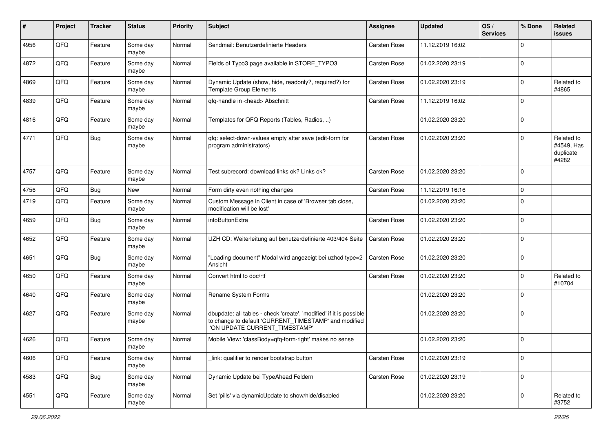| ∦    | Project | <b>Tracker</b> | <b>Status</b>     | <b>Priority</b> | <b>Subject</b>                                                                                                                                                | <b>Assignee</b> | <b>Updated</b>   | OS/<br><b>Services</b> | % Done      | Related<br>issues                              |
|------|---------|----------------|-------------------|-----------------|---------------------------------------------------------------------------------------------------------------------------------------------------------------|-----------------|------------------|------------------------|-------------|------------------------------------------------|
| 4956 | QFQ     | Feature        | Some day<br>maybe | Normal          | Sendmail: Benutzerdefinierte Headers                                                                                                                          | Carsten Rose    | 11.12.2019 16:02 |                        | $\Omega$    |                                                |
| 4872 | QFQ     | Feature        | Some day<br>maybe | Normal          | Fields of Typo3 page available in STORE_TYPO3                                                                                                                 | Carsten Rose    | 01.02.2020 23:19 |                        | $\mathbf 0$ |                                                |
| 4869 | QFQ     | Feature        | Some day<br>maybe | Normal          | Dynamic Update (show, hide, readonly?, required?) for<br><b>Template Group Elements</b>                                                                       | Carsten Rose    | 01.02.2020 23:19 |                        | $\mathbf 0$ | Related to<br>#4865                            |
| 4839 | QFQ     | Feature        | Some day<br>maybe | Normal          | qfq-handle in <head> Abschnitt</head>                                                                                                                         | Carsten Rose    | 11.12.2019 16:02 |                        | $\mathbf 0$ |                                                |
| 4816 | QFQ     | Feature        | Some day<br>maybe | Normal          | Templates for QFQ Reports (Tables, Radios, )                                                                                                                  |                 | 01.02.2020 23:20 |                        | $\mathbf 0$ |                                                |
| 4771 | QFQ     | <b>Bug</b>     | Some day<br>maybe | Normal          | qfq: select-down-values empty after save (edit-form for<br>program administrators)                                                                            | Carsten Rose    | 01.02.2020 23:20 |                        | $\mathbf 0$ | Related to<br>#4549, Has<br>duplicate<br>#4282 |
| 4757 | QFQ     | Feature        | Some day<br>maybe | Normal          | Test subrecord: download links ok? Links ok?                                                                                                                  | Carsten Rose    | 01.02.2020 23:20 |                        | $\mathbf 0$ |                                                |
| 4756 | QFQ     | Bug            | New               | Normal          | Form dirty even nothing changes                                                                                                                               | Carsten Rose    | 11.12.2019 16:16 |                        | $\mathbf 0$ |                                                |
| 4719 | QFQ     | Feature        | Some day<br>maybe | Normal          | Custom Message in Client in case of 'Browser tab close,<br>modification will be lost'                                                                         |                 | 01.02.2020 23:20 |                        | $\Omega$    |                                                |
| 4659 | QFQ     | Bug            | Some day<br>maybe | Normal          | infoButtonExtra                                                                                                                                               | Carsten Rose    | 01.02.2020 23:20 |                        | $\mathbf 0$ |                                                |
| 4652 | QFQ     | Feature        | Some day<br>maybe | Normal          | UZH CD: Weiterleitung auf benutzerdefinierte 403/404 Seite                                                                                                    | Carsten Rose    | 01.02.2020 23:20 |                        | $\mathbf 0$ |                                                |
| 4651 | QFQ     | <b>Bug</b>     | Some day<br>maybe | Normal          | "Loading document" Modal wird angezeigt bei uzhcd type=2<br>Ansicht                                                                                           | Carsten Rose    | 01.02.2020 23:20 |                        | $\mathbf 0$ |                                                |
| 4650 | QFQ     | Feature        | Some day<br>maybe | Normal          | Convert html to doc/rtf                                                                                                                                       | Carsten Rose    | 01.02.2020 23:20 |                        | $\mathbf 0$ | Related to<br>#10704                           |
| 4640 | QFQ     | Feature        | Some day<br>maybe | Normal          | Rename System Forms                                                                                                                                           |                 | 01.02.2020 23:20 |                        | $\mathbf 0$ |                                                |
| 4627 | QFQ     | Feature        | Some day<br>maybe | Normal          | dbupdate: all tables - check 'create', 'modified' if it is possible<br>to change to default 'CURRENT_TIMESTAMP' and modified<br>'ON UPDATE CURRENT_TIMESTAMP' |                 | 01.02.2020 23:20 |                        | $\mathbf 0$ |                                                |
| 4626 | QFQ     | Feature        | Some day<br>maybe | Normal          | Mobile View: 'classBody=qfq-form-right' makes no sense                                                                                                        |                 | 01.02.2020 23:20 |                        | $\mathbf 0$ |                                                |
| 4606 | QFO     | Feature        | Some day<br>maybe | Normal          | link: qualifier to render bootstrap button                                                                                                                    | Carsten Rose    | 01.02.2020 23:19 |                        | $\mathbf 0$ |                                                |
| 4583 | QFO     | <b>Bug</b>     | Some day<br>maybe | Normal          | Dynamic Update bei TypeAhead Feldern                                                                                                                          | Carsten Rose    | 01.02.2020 23:19 |                        | $\mathbf 0$ |                                                |
| 4551 | QFQ     | Feature        | Some day<br>maybe | Normal          | Set 'pills' via dynamicUpdate to show/hide/disabled                                                                                                           |                 | 01.02.2020 23:20 |                        | $\pmb{0}$   | Related to<br>#3752                            |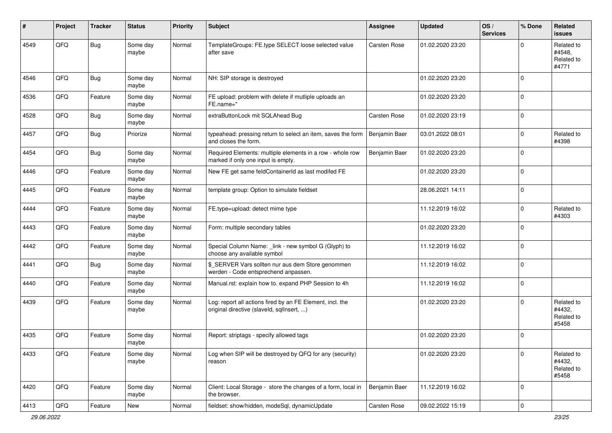| ∦    | Project | <b>Tracker</b> | <b>Status</b>     | <b>Priority</b> | <b>Subject</b>                                                                                         | <b>Assignee</b> | <b>Updated</b>   | OS/<br><b>Services</b> | % Done      | <b>Related</b><br>issues                    |
|------|---------|----------------|-------------------|-----------------|--------------------------------------------------------------------------------------------------------|-----------------|------------------|------------------------|-------------|---------------------------------------------|
| 4549 | QFQ     | Bug            | Some day<br>maybe | Normal          | TemplateGroups: FE.type SELECT loose selected value<br>after save                                      | Carsten Rose    | 01.02.2020 23:20 |                        | $\Omega$    | Related to<br>#4548.<br>Related to<br>#4771 |
| 4546 | QFQ     | Bug            | Some day<br>maybe | Normal          | NH: SIP storage is destroyed                                                                           |                 | 01.02.2020 23:20 |                        | $\Omega$    |                                             |
| 4536 | QFQ     | Feature        | Some day<br>maybe | Normal          | FE upload: problem with delete if mutliple uploads an<br>FE.name="                                     |                 | 01.02.2020 23:20 |                        | $\Omega$    |                                             |
| 4528 | QFQ     | Bug            | Some day<br>maybe | Normal          | extraButtonLock mit SQLAhead Bug                                                                       | Carsten Rose    | 01.02.2020 23:19 |                        | $\mathbf 0$ |                                             |
| 4457 | QFQ     | <b>Bug</b>     | Priorize          | Normal          | typeahead: pressing return to select an item, saves the form<br>and closes the form.                   | Benjamin Baer   | 03.01.2022 08:01 |                        | $\Omega$    | Related to<br>#4398                         |
| 4454 | QFQ     | <b>Bug</b>     | Some day<br>maybe | Normal          | Required Elements: multiple elements in a row - whole row<br>marked if only one input is empty.        | Benjamin Baer   | 01.02.2020 23:20 |                        | $\Omega$    |                                             |
| 4446 | QFQ     | Feature        | Some day<br>maybe | Normal          | New FE get same feldContainerId as last modifed FE                                                     |                 | 01.02.2020 23:20 |                        | $\Omega$    |                                             |
| 4445 | QFQ     | Feature        | Some day<br>maybe | Normal          | template group: Option to simulate fieldset                                                            |                 | 28.06.2021 14:11 |                        | $\Omega$    |                                             |
| 4444 | QFQ     | Feature        | Some day<br>maybe | Normal          | FE.type=upload: detect mime type                                                                       |                 | 11.12.2019 16:02 |                        | $\Omega$    | Related to<br>#4303                         |
| 4443 | QFQ     | Feature        | Some day<br>maybe | Normal          | Form: multiple secondary tables                                                                        |                 | 01.02.2020 23:20 |                        | $\Omega$    |                                             |
| 4442 | QFQ     | Feature        | Some day<br>maybe | Normal          | Special Column Name: _link - new symbol G (Glyph) to<br>choose any available symbol                    |                 | 11.12.2019 16:02 |                        | $\mathbf 0$ |                                             |
| 4441 | QFQ     | Bug            | Some day<br>maybe | Normal          | \$_SERVER Vars sollten nur aus dem Store genommen<br>werden - Code entsprechend anpassen.              |                 | 11.12.2019 16:02 |                        | $\Omega$    |                                             |
| 4440 | QFQ     | Feature        | Some day<br>maybe | Normal          | Manual.rst: explain how to. expand PHP Session to 4h                                                   |                 | 11.12.2019 16:02 |                        | $\Omega$    |                                             |
| 4439 | QFQ     | Feature        | Some day<br>maybe | Normal          | Log: report all actions fired by an FE Element, incl. the<br>original directive (slaveld, sqllnsert, ) |                 | 01.02.2020 23:20 |                        | $\Omega$    | Related to<br>#4432,<br>Related to<br>#5458 |
| 4435 | QFQ     | Feature        | Some day<br>maybe | Normal          | Report: striptags - specify allowed tags                                                               |                 | 01.02.2020 23:20 |                        | $\Omega$    |                                             |
| 4433 | QFO     | Feature        | Some day<br>maybe | Normal          | Log when SIP will be destroyed by QFQ for any (security)<br>reason                                     |                 | 01.02.2020 23:20 |                        | 0           | Related to<br>#4432,<br>Related to<br>#5458 |
| 4420 | QFO     | Feature        | Some day<br>maybe | Normal          | Client: Local Storage - store the changes of a form, local in<br>the browser.                          | Benjamin Baer   | 11.12.2019 16:02 |                        | 0           |                                             |
| 4413 | QFQ     | Feature        | New               | Normal          | fieldset: show/hidden, modeSql, dynamicUpdate                                                          | Carsten Rose    | 09.02.2022 15:19 |                        | $\pmb{0}$   |                                             |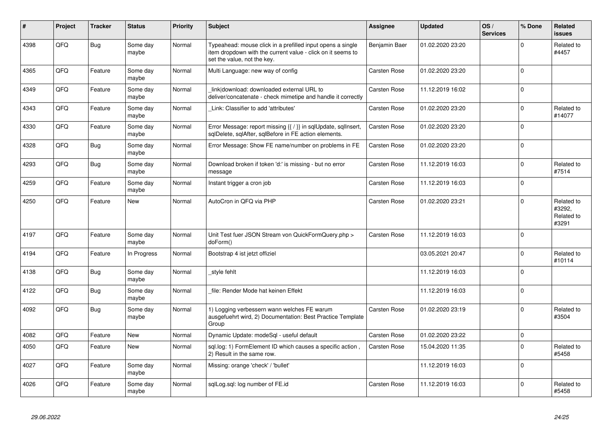| #    | Project | <b>Tracker</b> | <b>Status</b>     | <b>Priority</b> | <b>Subject</b>                                                                                                                                           | Assignee      | <b>Updated</b>   | OS/<br><b>Services</b> | % Done      | Related<br><b>issues</b>                    |
|------|---------|----------------|-------------------|-----------------|----------------------------------------------------------------------------------------------------------------------------------------------------------|---------------|------------------|------------------------|-------------|---------------------------------------------|
| 4398 | QFQ     | <b>Bug</b>     | Some day<br>maybe | Normal          | Typeahead: mouse click in a prefilled input opens a single<br>item dropdown with the current value - click on it seems to<br>set the value, not the key. | Benjamin Baer | 01.02.2020 23:20 |                        | $\Omega$    | Related to<br>#4457                         |
| 4365 | QFQ     | Feature        | Some day<br>maybe | Normal          | Multi Language: new way of config                                                                                                                        | Carsten Rose  | 01.02.2020 23:20 |                        | $\Omega$    |                                             |
| 4349 | QFQ     | Feature        | Some day<br>maybe | Normal          | link download: downloaded external URL to<br>deliver/concatenate - check mimetipe and handle it correctly                                                | Carsten Rose  | 11.12.2019 16:02 |                        | $\Omega$    |                                             |
| 4343 | QFQ     | Feature        | Some day<br>maybe | Normal          | Link: Classifier to add 'attributes'                                                                                                                     | Carsten Rose  | 01.02.2020 23:20 |                        | $\Omega$    | Related to<br>#14077                        |
| 4330 | QFQ     | Feature        | Some day<br>maybe | Normal          | Error Message: report missing {{ / }} in sqlUpdate, sqlInsert,<br>sqlDelete, sqlAfter, sqlBefore in FE action elements.                                  | Carsten Rose  | 01.02.2020 23:20 |                        | $\Omega$    |                                             |
| 4328 | QFQ     | <b>Bug</b>     | Some day<br>maybe | Normal          | Error Message: Show FE name/number on problems in FE                                                                                                     | Carsten Rose  | 01.02.2020 23:20 |                        | $\Omega$    |                                             |
| 4293 | QFQ     | <b>Bug</b>     | Some day<br>maybe | Normal          | Download broken if token 'd:' is missing - but no error<br>message                                                                                       | Carsten Rose  | 11.12.2019 16:03 |                        | $\mathbf 0$ | Related to<br>#7514                         |
| 4259 | QFQ     | Feature        | Some day<br>maybe | Normal          | Instant trigger a cron job                                                                                                                               | Carsten Rose  | 11.12.2019 16:03 |                        | $\Omega$    |                                             |
| 4250 | QFQ     | Feature        | New               | Normal          | AutoCron in QFQ via PHP                                                                                                                                  | Carsten Rose  | 01.02.2020 23:21 |                        | $\Omega$    | Related to<br>#3292,<br>Related to<br>#3291 |
| 4197 | QFQ     | Feature        | Some day<br>maybe | Normal          | Unit Test fuer JSON Stream von QuickFormQuery.php ><br>doForm()                                                                                          | Carsten Rose  | 11.12.2019 16:03 |                        | $\Omega$    |                                             |
| 4194 | QFQ     | Feature        | In Progress       | Normal          | Bootstrap 4 ist jetzt offiziel                                                                                                                           |               | 03.05.2021 20:47 |                        | $\Omega$    | Related to<br>#10114                        |
| 4138 | QFQ     | Bug            | Some day<br>maybe | Normal          | style fehlt                                                                                                                                              |               | 11.12.2019 16:03 |                        | $\Omega$    |                                             |
| 4122 | QFQ     | Bug            | Some day<br>maybe | Normal          | file: Render Mode hat keinen Effekt                                                                                                                      |               | 11.12.2019 16:03 |                        | $\Omega$    |                                             |
| 4092 | QFQ     | Bug            | Some day<br>maybe | Normal          | 1) Logging verbessern wann welches FE warum<br>ausgefuehrt wird, 2) Documentation: Best Practice Template<br>Group                                       | Carsten Rose  | 01.02.2020 23:19 |                        | $\Omega$    | Related to<br>#3504                         |
| 4082 | QFQ     | Feature        | New               | Normal          | Dynamic Update: modeSql - useful default                                                                                                                 | Carsten Rose  | 01.02.2020 23:22 |                        | $\mathbf 0$ |                                             |
| 4050 | QFQ     | Feature        | New               | Normal          | sql.log: 1) FormElement ID which causes a specific action,<br>2) Result in the same row.                                                                 | Carsten Rose  | 15.04.2020 11:35 |                        | $\Omega$    | Related to<br>#5458                         |
| 4027 | QFQ     | Feature        | Some day<br>maybe | Normal          | Missing: orange 'check' / 'bullet'                                                                                                                       |               | 11.12.2019 16:03 |                        | $\mathbf 0$ |                                             |
| 4026 | QFQ     | Feature        | Some day<br>maybe | Normal          | sqlLog.sql: log number of FE.id                                                                                                                          | Carsten Rose  | 11.12.2019 16:03 |                        | $\Omega$    | Related to<br>#5458                         |